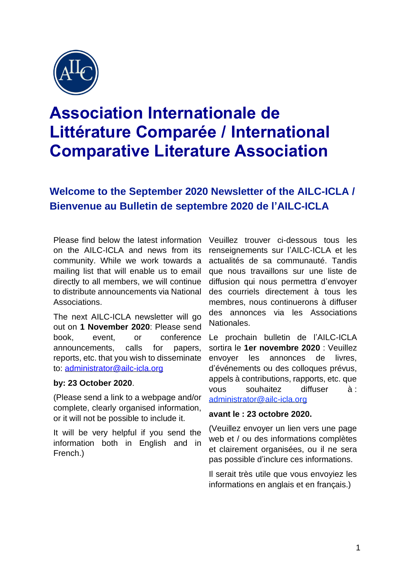

# **Association Internationale de Littérature Comparée / International Comparative Literature Association**

# **Welcome to the September 2020 Newsletter of the AILC-ICLA / Bienvenue au Bulletin de septembre 2020 de l'AILC-ICLA**

Please find below the latest information on the AILC-ICLA and news from its community. While we work towards a mailing list that will enable us to email directly to all members, we will continue to distribute announcements via National Associations.

The next AILC-ICLA newsletter will go out on **1 November 2020**: Please send book, event, or conference announcements, calls for papers, reports, etc. that you wish to disseminate to: [administrator@ailc-icla.org](mailto:administrator@ailc-icla.org)

### **by: 23 October 2020**.

(Please send a link to a webpage and/or complete, clearly organised information, or it will not be possible to include it.

It will be very helpful if you send the information both in English and in French.)

Veuillez trouver ci-dessous tous les renseignements sur l'AILC-ICLA et les actualités de sa communauté. Tandis que nous travaillons sur une liste de diffusion qui nous permettra d'envoyer des courriels directement à tous les membres, nous continuerons à diffuser des annonces via les Associations Nationales.

Le prochain bulletin de l'AILC-ICLA sortira le **1er novembre 2020** : Veuillez envoyer les annonces de livres, d'événements ou des colloques prévus, appels à contributions, rapports, etc. que vous souhaitez diffuser à : [administrator@ailc-icla.org](mailto:administrator@ailc-icla.org)

#### **avant le : 23 octobre 2020.**

(Veuillez envoyer un lien vers une page web et / ou des informations complètes et clairement organisées, ou il ne sera pas possible d'inclure ces informations.

Il serait très utile que vous envoyiez les informations en anglais et en français.)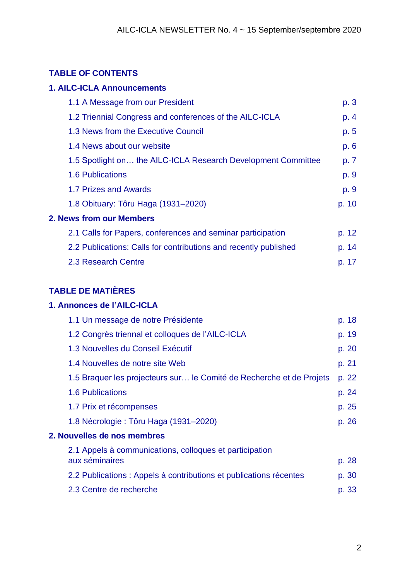# **TABLE OF CONTENTS**

| <b>1. AILC-ICLA Announcements</b>                                |       |
|------------------------------------------------------------------|-------|
| 1.1 A Message from our President                                 | p. 3  |
| 1.2 Triennial Congress and conferences of the AILC-ICLA          | p. 4  |
| 1.3 News from the Executive Council                              | p. 5  |
| 1.4 News about our website                                       | p.6   |
| 1.5 Spotlight on the AILC-ICLA Research Development Committee    | p. 7  |
| <b>1.6 Publications</b>                                          | p. 9  |
| 1.7 Prizes and Awards                                            | p. 9  |
| 1.8 Obituary: Tôru Haga (1931–2020)                              | p. 10 |
| 2. News from our Members                                         |       |
| 2.1 Calls for Papers, conferences and seminar participation      | p. 12 |
| 2.2 Publications: Calls for contributions and recently published | p. 14 |
| 2.3 Research Centre                                              | p. 17 |

# **TABLE DE MATIÈRES**

# **1. Annonces de l'AILC-ICLA**

|                             | 1.1 Un message de notre Présidente                                        | p. 18 |
|-----------------------------|---------------------------------------------------------------------------|-------|
|                             | 1.2 Congrès triennal et colloques de l'AILC-ICLA                          | p. 19 |
|                             | 1.3 Nouvelles du Conseil Exécutif                                         | p. 20 |
|                             | 1.4 Nouvelles de notre site Web                                           | p. 21 |
|                             | 1.5 Braquer les projecteurs sur le Comité de Recherche et de Projets      | p. 22 |
|                             | <b>1.6 Publications</b>                                                   | p. 24 |
|                             | 1.7 Prix et récompenses                                                   | p. 25 |
|                             | 1.8 Nécrologie: Tôru Haga (1931-2020)                                     | p. 26 |
| 2. Nouvelles de nos membres |                                                                           |       |
|                             | 2.1 Appels à communications, colloques et participation<br>aux séminaires | p. 28 |
|                             | 2.2 Publications : Appels à contributions et publications récentes        | p. 30 |
|                             | 2.3 Centre de recherche                                                   | p. 33 |
|                             |                                                                           |       |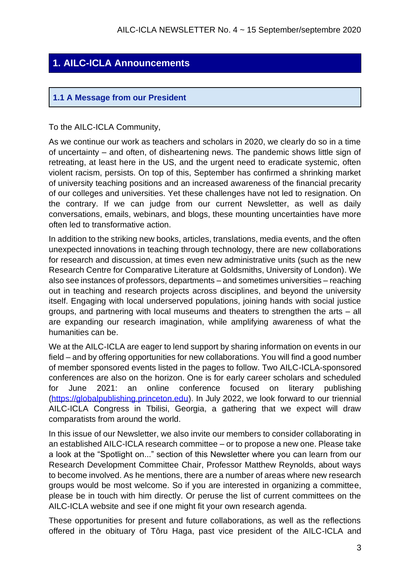# **1. AILC-ICLA Announcements**

### **1.1 A Message from our President**

To the AILC-ICLA Community,

As we continue our work as teachers and scholars in 2020, we clearly do so in a time of uncertainty – and often, of disheartening news. The pandemic shows little sign of retreating, at least here in the US, and the urgent need to eradicate systemic, often violent racism, persists. On top of this, September has confirmed a shrinking market of university teaching positions and an increased awareness of the financial precarity of our colleges and universities. Yet these challenges have not led to resignation. On the contrary. If we can judge from our current Newsletter, as well as daily conversations, emails, webinars, and blogs, these mounting uncertainties have more often led to transformative action.

In addition to the striking new books, articles, translations, media events, and the often unexpected innovations in teaching through technology, there are new collaborations for research and discussion, at times even new administrative units (such as the new Research Centre for Comparative Literature at Goldsmiths, University of London). We also see instances of professors, departments – and sometimes universities – reaching out in teaching and research projects across disciplines, and beyond the university itself. Engaging with local underserved populations, joining hands with social justice groups, and partnering with local museums and theaters to strengthen the arts – all are expanding our research imagination, while amplifying awareness of what the humanities can be.

We at the AILC-ICLA are eager to lend support by sharing information on events in our field – and by offering opportunities for new collaborations. You will find a good number of member sponsored events listed in the pages to follow. Two AILC-ICLA-sponsored conferences are also on the horizon. One is for early career scholars and scheduled for June 2021: an online conference focused on literary publishing [\(https://globalpublishing.princeton.edu\)](https://globalpublishing.princeton.edu/). In July 2022, we look forward to our triennial AILC-ICLA Congress in Tbilisi, Georgia, a gathering that we expect will draw comparatists from around the world.

In this issue of our Newsletter, we also invite our members to consider collaborating in an established AILC-ICLA research committee – or to propose a new one. Please take a look at the "Spotlight on..." section of this Newsletter where you can learn from our Research Development Committee Chair, Professor Matthew Reynolds, about ways to become involved. As he mentions, there are a number of areas where new research groups would be most welcome. So if you are interested in organizing a committee, please be in touch with him directly. Or peruse the list of current committees on the AILC-ICLA website and see if one might fit your own research agenda.

These opportunities for present and future collaborations, as well as the reflections offered in the obituary of Tôru Haga, past vice president of the AILC-ICLA and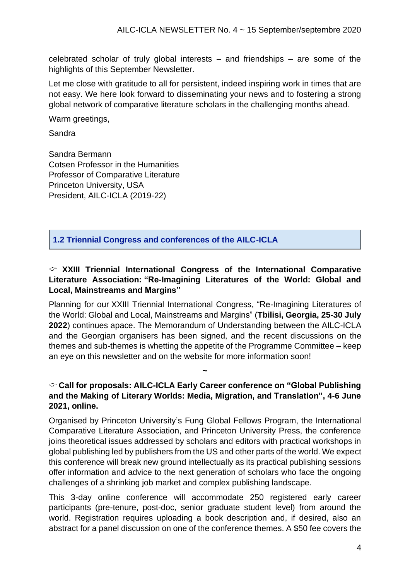celebrated scholar of truly global interests – and friendships – are some of the highlights of this September Newsletter.

Let me close with gratitude to all for persistent, indeed inspiring work in times that are not easy. We here look forward to disseminating your news and to fostering a strong global network of comparative literature scholars in the challenging months ahead.

Warm greetings,

Sandra

Sandra Bermann Cotsen Professor in the Humanities Professor of Comparative Literature Princeton University, USA President, AILC-ICLA (2019-22)

**1.2 Triennial Congress and conferences of the AILC-ICLA**

### **XXIII Triennial International Congress of the International Comparative Literature Association: "Re-Imagining Literatures of the World: Global and Local, Mainstreams and Margins"**

Planning for our XXIII Triennial International Congress, "Re-Imagining Literatures of the World: Global and Local, Mainstreams and Margins" (**Tbilisi, Georgia, 25-30 July 2022**) continues apace. The Memorandum of Understanding between the AILC-ICLA and the Georgian organisers has been signed, and the recent discussions on the themes and sub-themes is whetting the appetite of the Programme Committee – keep an eye on this newsletter and on the website for more information soon!

### **Call for proposals: AILC-ICLA Early Career conference on "Global Publishing and the Making of Literary Worlds: Media, Migration, and Translation", 4-6 June 2021, online.**

**~**

Organised by Princeton University's Fung Global Fellows Program, the International Comparative Literature Association, and Princeton University Press, the conference joins theoretical issues addressed by scholars and editors with practical workshops in global publishing led by publishers from the US and other parts of the world. We expect this conference will break new ground intellectually as its practical publishing sessions offer information and advice to the next generation of scholars who face the ongoing challenges of a shrinking job market and complex publishing landscape.

This 3-day online conference will accommodate 250 registered early career participants (pre-tenure, post-doc, senior graduate student level) from around the world. Registration requires uploading a book description and, if desired, also an abstract for a panel discussion on one of the conference themes. A \$50 fee covers the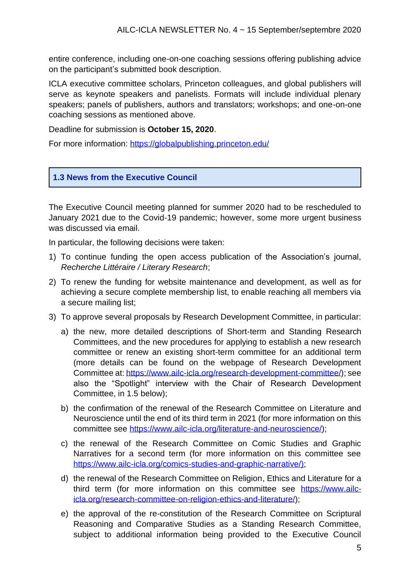entire conference, including one-on-one coaching sessions offering publishing advice on the participant's submitted book description.

ICLA executive committee scholars, Princeton colleagues, and global publishers will serve as keynote speakers and panelists. Formats will include individual plenary speakers; panels of publishers, authors and translators; workshops; and one-on-one coaching sessions as mentioned above.

Deadline for submission is **October 15, 2020**.

For more information:<https://globalpublishing.princeton.edu/>

### **1.3 News from the Executive Council**

The Executive Council meeting planned for summer 2020 had to be rescheduled to January 2021 due to the Covid-19 pandemic; however, some more urgent business was discussed via email.

In particular, the following decisions were taken:

- 1) To continue funding the open access publication of the Association's journal, *Recherche Littéraire / Literary Research*;
- 2) To renew the funding for website maintenance and development, as well as for achieving a secure complete membership list, to enable reaching all members via a secure mailing list;
- 3) To approve several proposals by Research Development Committee, in particular:
	- a) the new, more detailed descriptions of Short-term and Standing Research Committees, and the new procedures for applying to establish a new research committee or renew an existing short-term committee for an additional term (more details can be found on the webpage of Research Development Committee at: [https://www.ailc-icla.org/research-development-committee/\)](https://www.ailc-icla.org/research-development-committee/); see also the "Spotlight" interview with the Chair of Research Development Committee, in 1.5 below);
	- b) the confirmation of the renewal of the Research Committee on Literature and Neuroscience until the end of its third term in 2021 (for more information on this committee see [https://www.ailc-icla.org/literature-and-neuroscience/\)](https://www.ailc-icla.org/literature-and-neuroscience/);
	- c) the renewal of the Research Committee on Comic Studies and Graphic Narratives for a second term (for more information on this committee see [https://www.ailc-icla.org/comics-studies-and-graphic-narrative/\);](https://www.ailc-icla.org/comics-studies-and-graphic-narrative/)
	- d) the renewal of the Research Committee on Religion, Ethics and Literature for a third term (for more information on this committee see [https://www.ailc](https://www.ailc-icla.org/research-committee-on-religion-ethics-and-literature/)[icla.org/research-committee-on-religion-ethics-and-literature/\)](https://www.ailc-icla.org/research-committee-on-religion-ethics-and-literature/);
	- e) the approval of the re-constitution of the Research Committee on Scriptural Reasoning and Comparative Studies as a Standing Research Committee, subject to additional information being provided to the Executive Council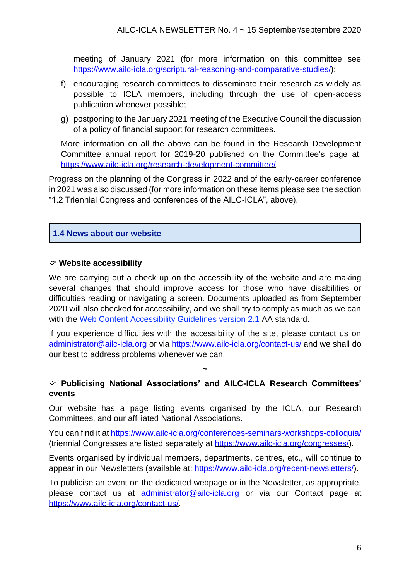meeting of January 2021 (for more information on this committee see [https://www.ailc-icla.org/scriptural-reasoning-and-comparative-studies/\)](https://www.ailc-icla.org/scriptural-reasoning-and-comparative-studies/);

- f) encouraging research committees to disseminate their research as widely as possible to ICLA members, including through the use of open-access publication whenever possible;
- g) postponing to the January 2021 meeting of the Executive Council the discussion of a policy of financial support for research committees.

More information on all the above can be found in the Research Development Committee annual report for 2019-20 published on the Committee's page at: [https://www.ailc-icla.org/research-development-committee/.](https://www.ailc-icla.org/research-development-committee/)

Progress on the planning of the Congress in 2022 and of the early-career conference in 2021 was also discussed (for more information on these items please see the section "1.2 Triennial Congress and conferences of the AILC-ICLA", above).

### **1.4 News about our website**

### **Website accessibility**

We are carrying out a check up on the accessibility of the website and are making several changes that should improve access for those who have disabilities or difficulties reading or navigating a screen. Documents uploaded as from September 2020 will also checked for accessibility, and we shall try to comply as much as we can with the Web Content [Accessibility](https://www.w3.org/TR/WCAG21/) Guidelines version 2.1 AA standard.

If you experience difficulties with the accessibility of the site, please contact us on [administrator@ailc-icla.org](mailto:administrator@ailc-icla.org) or via<https://www.ailc-icla.org/contact-us/> and we shall do our best to address problems whenever we can.

### **Publicising National Associations' and AILC-ICLA Research Committees' events**

**~**

Our website has a page listing events organised by the ICLA, our Research Committees, and our affiliated National Associations.

You can find it at <https://www.ailc-icla.org/conferences-seminars-workshops-colloquia/> (triennial Congresses are listed separately at [https://www.ailc-icla.org/congresses/\)](https://www.ailc-icla.org/congresses/).

Events organised by individual members, departments, centres, etc., will continue to appear in our Newsletters (available at: [https://www.ailc-icla.org/recent-newsletters/\)](https://www.ailc-icla.org/recent-newsletters/).

To publicise an event on the dedicated webpage or in the Newsletter, as appropriate, please contact us at [administrator@ailc-icla.org](mailto:administrator@ailc-icla.org) or via our Contact page at [https://www.ailc-icla.org/contact-us/.](https://www.ailc-icla.org/contact-us/)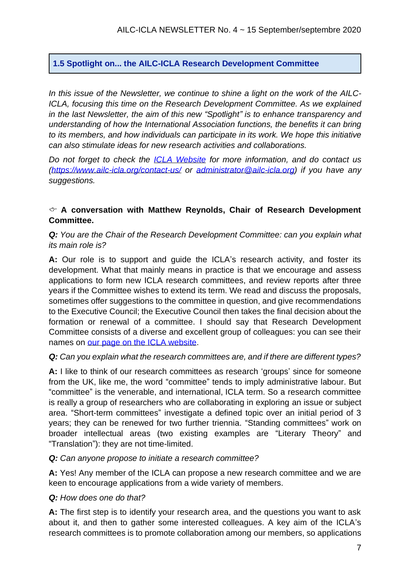# **1.5 Spotlight on... the AILC-ICLA Research Development Committee**

*In this issue of the Newsletter, we continue to shine a light on the work of the AILC-ICLA, focusing this time on the Research Development Committee. As we explained in the last Newsletter, the aim of this new "Spotlight" is to enhance transparency and understanding of how the International Association functions, the benefits it can bring to its members, and how individuals can participate in its work. We hope this initiative can also stimulate ideas for new research activities and collaborations.*

*Do not forget to check the ICLA [Website](http://www.ailc-icla.org/) for more information, and do contact us [\(https://www.ailc-icla.org/contact-us/](https://www.ailc-icla.org/contact-us/) or [administrator@ailc-icla.org\)](mailto:administrator@ailc-icla.org) if you have any suggestions.*

### **A conversation with Matthew Reynolds, Chair of Research Development Committee.**

### *Q: You are the Chair of the Research Development Committee: can you explain what its main role is?*

**A:** Our role is to support and guide the ICLA's research activity, and foster its development. What that mainly means in practice is that we encourage and assess applications to form new ICLA research committees, and review reports after three years if the Committee wishes to extend its term. We read and discuss the proposals, sometimes offer suggestions to the committee in question, and give recommendations to the Executive Council; the Executive Council then takes the final decision about the formation or renewal of a committee. I should say that Research Development Committee consists of a diverse and excellent group of colleagues: you can see their names on [our page on the ICLA website.](https://www.ailc-icla.org/research-development-committee/)

### *Q: Can you explain what the research committees are, and if there are different types?*

**A:** I like to think of our research committees as research 'groups' since for someone from the UK, like me, the word "committee" tends to imply administrative labour. But "committee" is the venerable, and international, ICLA term. So a research committee is really a group of researchers who are collaborating in exploring an issue or subject area. "Short-term committees" investigate a defined topic over an initial period of 3 years; they can be renewed for two further triennia. "Standing committees" work on broader intellectual areas (two existing examples are "Literary Theory" and "Translation"): they are not time-limited.

### *Q: Can anyone propose to initiate a research committee?*

**A:** Yes! Any member of the ICLA can propose a new research committee and we are keen to encourage applications from a wide variety of members.

### *Q: How does one do that?*

**A:** The first step is to identify your research area, and the questions you want to ask about it, and then to gather some interested colleagues. A key aim of the ICLA's research committees is to promote collaboration among our members, so applications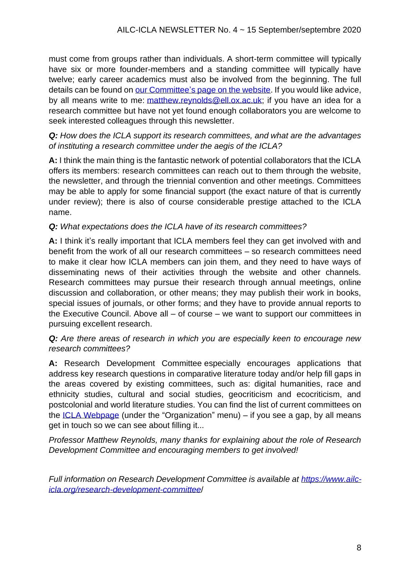must come from groups rather than individuals. A short-term committee will typically have six or more founder-members and a standing committee will typically have twelve; early career academics must also be involved from the beginning. The full details can be found on [our Committee's page on the website.](https://www.ailc-icla.org/research-development-committee/) If you would like advice, by all means write to me: [matthew.reynolds@ell.ox.ac.uk;](mailto:matthew.reynolds@ell.ox.ac.uk) if you have an idea for a research committee but have not yet found enough collaborators you are welcome to seek interested colleagues through this newsletter.

# *Q: How does the ICLA support its research committees, and what are the advantages of instituting a research committee under the aegis of the ICLA?*

**A:** I think the main thing is the fantastic network of potential collaborators that the ICLA offers its members: research committees can reach out to them through the website, the newsletter, and through the triennial convention and other meetings. Committees may be able to apply for some financial support (the exact nature of that is currently under review); there is also of course considerable prestige attached to the ICLA name.

### *Q: What expectations does the ICLA have of its research committees?*

**A:** I think it's really important that ICLA members feel they can get involved with and benefit from the work of all our research committees – so research committees need to make it clear how ICLA members can join them, and they need to have ways of disseminating news of their activities through the website and other channels. Research committees may pursue their research through annual meetings, online discussion and collaboration, or other means; they may publish their work in books, special issues of journals, or other forms; and they have to provide annual reports to the Executive Council. Above all – of course – we want to support our committees in pursuing excellent research.

### *Q: Are there areas of research in which you are especially keen to encourage new research committees?*

**A:** Research Development Committee especially encourages applications that address key research questions in comparative literature today and/or help fill gaps in the areas covered by existing committees, such as: digital humanities, race and ethnicity studies, cultural and social studies, geocriticism and ecocriticism, and postcolonial and world literature studies. You can find the list of current committees on the [ICLA Webpage](https://www.ailc-icla.org/) (under the "Organization" menu) – if you see a gap, by all means get in touch so we can see about filling it...

*Professor Matthew Reynolds, many thanks for explaining about the role of Research Development Committee and encouraging members to get involved!*

*Full information on Research Development Committee is available at [https://www.ailc](https://www.ailc-icla.org/research-development-committee)[icla.org/research-development-committee](https://www.ailc-icla.org/research-development-committee)*/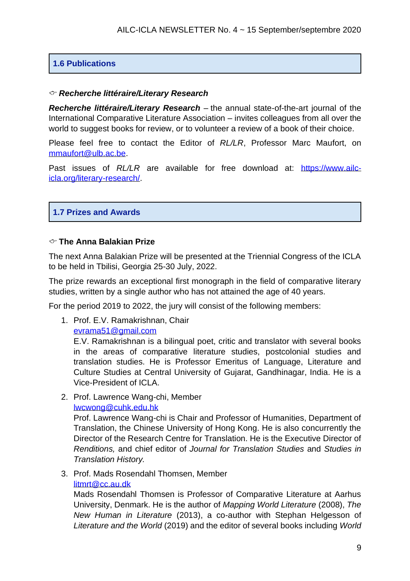# **1.6 Publications**

### *Recherche littéraire/Literary Research*

*Recherche littéraire/Literary Research* – the annual state-of-the-art journal of the International Comparative Literature Association – invites colleagues from all over the world to suggest books for review, or to volunteer a review of a book of their choice.

Please feel free to contact the Editor of *RL/LR*, Professor Marc Maufort, on [mmaufort@ulb.ac.be.](mailto:mmaufort@ulb.ac.be)

Past issues of *RL/LR* are available for free download at: [https://www.ailc](https://www.ailc-icla.org/literary-research/)[icla.org/literary-research/.](https://www.ailc-icla.org/literary-research/)

### **1.7 Prizes and Awards**

### **The Anna Balakian Prize**

The next Anna Balakian Prize will be presented at the Triennial Congress of the ICLA to be held in Tbilisi, Georgia 25-30 July, 2022.

The prize rewards an exceptional first monograph in the field of comparative literary studies, written by a single author who has not attained the age of 40 years.

For the period 2019 to 2022, the jury will consist of the following members:

1. Prof. E.V. Ramakrishnan, Chair [evrama51@gmail.com](mailto:evrama51@gmail.com)

E.V. Ramakrishnan is a bilingual poet, critic and translator with several books in the areas of comparative literature studies, postcolonial studies and translation studies. He is Professor Emeritus of Language, Literature and Culture Studies at Central University of Gujarat, Gandhinagar, India. He is a Vice-President of ICLA.

2. Prof. Lawrence Wang-chi, Member [lwcwong@cuhk.edu.hk](mailto:lwcwong@cuhk.edu.hk)

Prof. Lawrence Wang-chi is Chair and Professor of Humanities, Department of Translation, the Chinese University of Hong Kong. He is also concurrently the Director of the Research Centre for Translation. He is the Executive Director of *Renditions,* and chief editor of *Journal for Translation Studies* and *Studies in Translation History.*

3. Prof. Mads Rosendahl Thomsen, Member

### [litmrt@cc.au.dk](mailto:litmrt@cc.au.dk)

Mads Rosendahl Thomsen is Professor of Comparative Literature at Aarhus University, Denmark. He is the author of *Mapping World Literature* (2008), *The New Human in Literature* (2013), a co-author with Stephan Helgesson of *Literature and the World* (2019) and the editor of several books including *World*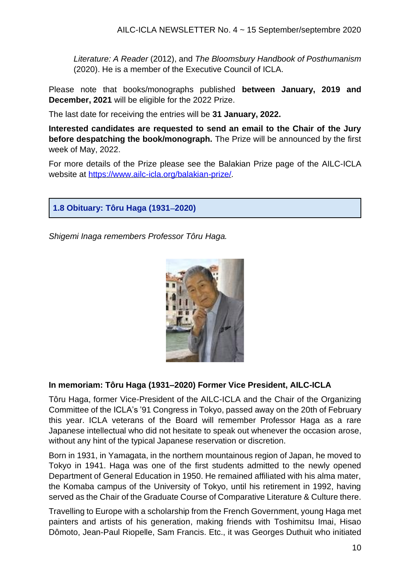*Literature: A Reader* (2012), and *The Bloomsbury Handbook of Posthumanism*  (2020). He is a member of the Executive Council of ICLA.

Please note that books/monographs published **between January, 2019 and December, 2021** will be eligible for the 2022 Prize.

The last date for receiving the entries will be **31 January, 2022.** 

**Interested candidates are requested to send an email to the Chair of the Jury before despatching the book/monograph.** The Prize will be announced by the first week of May, 2022.

For more details of the Prize please see the Balakian Prize page of the AILC-ICLA website at [https://www.ailc-icla.org/balakian-prize/.](https://www.ailc-icla.org/balakian-prize/)



*Shigemi Inaga remembers Professor Tôru Haga.*



# **In memoriam: Tôru Haga (1931–2020) Former Vice President, AILC-ICLA**

Tôru Haga, former Vice-President of the AILC-ICLA and the Chair of the Organizing Committee of the ICLA's '91 Congress in Tokyo, passed away on the 20th of February this year. ICLA veterans of the Board will remember Professor Haga as a rare Japanese intellectual who did not hesitate to speak out whenever the occasion arose, without any hint of the typical Japanese reservation or discretion.

Born in 1931, in Yamagata, in the northern mountainous region of Japan, he moved to Tokyo in 1941. Haga was one of the first students admitted to the newly opened Department of General Education in 1950. He remained affiliated with his alma mater, the Komaba campus of the University of Tokyo, until his retirement in 1992, having served as the Chair of the Graduate Course of Comparative Literature & Culture there.

Travelling to Europe with a scholarship from the French Government, young Haga met painters and artists of his generation, making friends with Toshimitsu Imai, Hisao Dômoto, Jean-Paul Riopelle, Sam Francis. Etc., it was Georges Duthuit who initiated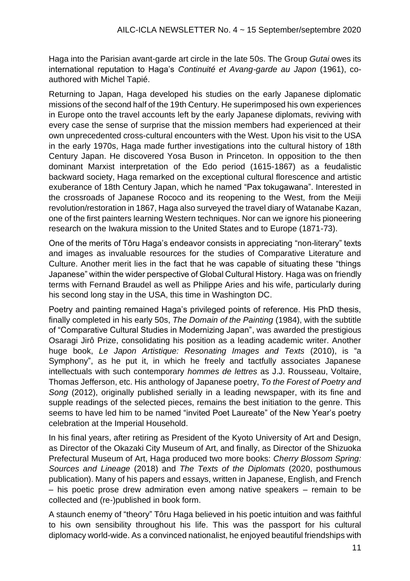Haga into the Parisian avant-garde art circle in the late 50s. The Group *Gutai* owes its international reputation to Haga's *Continuité et Avang-garde au Japon* (1961), coauthored with Michel Tapié.

Returning to Japan, Haga developed his studies on the early Japanese diplomatic missions of the second half of the 19th Century. He superimposed his own experiences in Europe onto the travel accounts left by the early Japanese diplomats, reviving with every case the sense of surprise that the mission members had experienced at their own unprecedented cross-cultural encounters with the West. Upon his visit to the USA in the early 1970s, Haga made further investigations into the cultural history of 18th Century Japan. He discovered Yosa Buson in Princeton. In opposition to the then dominant Marxist interpretation of the Edo period (1615-1867) as a feudalistic backward society, Haga remarked on the exceptional cultural florescence and artistic exuberance of 18th Century Japan, which he named "Pax tokugawana". Interested in the crossroads of Japanese Rococo and its reopening to the West, from the Meiji revolution/restoration in 1867, Haga also surveyed the travel diary of Watanabe Kazan, one of the first painters learning Western techniques. Nor can we ignore his pioneering research on the Iwakura mission to the United States and to Europe (1871-73).

One of the merits of Tôru Haga's endeavor consists in appreciating "non-literary" texts and images as invaluable resources for the studies of Comparative Literature and Culture. Another merit lies in the fact that he was capable of situating these "things Japanese" within the wider perspective of Global Cultural History. Haga was on friendly terms with Fernand Braudel as well as Philippe Aries and his wife, particularly during his second long stay in the USA, this time in Washington DC.

Poetry and painting remained Haga's privileged points of reference. His PhD thesis, finally completed in his early 50s, *The Domain of the Painting* (1984), with the subtitle of "Comparative Cultural Studies in Modernizing Japan", was awarded the prestigious Osaragi Jirô Prize, consolidating his position as a leading academic writer. Another huge book, *Le Japon Artistique: Resonating Images and Texts* (2010), is "a Symphony", as he put it, in which he freely and tactfully associates Japanese intellectuals with such contemporary *hommes de lettres* as J.J. Rousseau, Voltaire, Thomas Jefferson, etc. His anthology of Japanese poetry, *To the Forest of Poetry and Song* (2012), originally published serially in a leading newspaper, with its fine and supple readings of the selected pieces, remains the best initiation to the genre. This seems to have led him to be named "invited Poet Laureate" of the New Year's poetry celebration at the Imperial Household.

In his final years, after retiring as President of the Kyoto University of Art and Design, as Director of the Okazaki City Museum of Art, and finally, as Director of the Shizuoka Prefectural Museum of Art, Haga produced two more books: *Cherry Blossom Spring: Sources and Lineage* (2018) and *The Texts of the Diplomats* (2020, posthumous publication). Many of his papers and essays, written in Japanese, English, and French – his poetic prose drew admiration even among native speakers – remain to be collected and (re-)published in book form.

A staunch enemy of "theory" Tôru Haga believed in his poetic intuition and was faithful to his own sensibility throughout his life. This was the passport for his cultural diplomacy world-wide. As a convinced nationalist, he enjoyed beautiful friendships with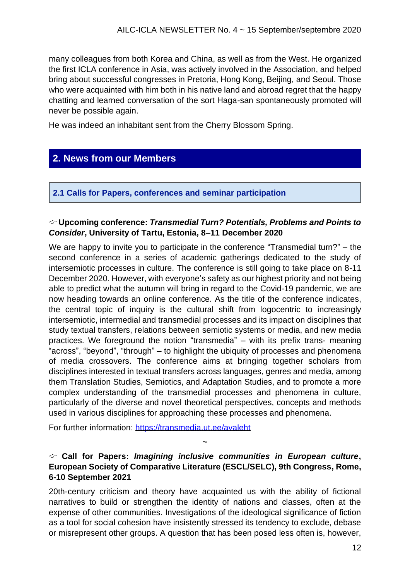many colleagues from both Korea and China, as well as from the West. He organized the first ICLA conference in Asia, was actively involved in the Association, and helped bring about successful congresses in Pretoria, Hong Kong, Beijing, and Seoul. Those who were acquainted with him both in his native land and abroad regret that the happy chatting and learned conversation of the sort Haga-san spontaneously promoted will never be possible again.

He was indeed an inhabitant sent from the Cherry Blossom Spring.

# **2. News from our Members**

**2.1 Calls for Papers, conferences and seminar participation**

### **Upcoming conference:** *Transmedial Turn? Potentials, Problems and Points to Consider***, University of Tartu, Estonia, 8–11 December 2020**

We are happy to invite you to participate in the conference "Transmedial turn?" – the second conference in a series of academic gatherings dedicated to the study of intersemiotic processes in culture. The conference is still going to take place on 8-11 December 2020. However, with everyone's safety as our highest priority and not being able to predict what the autumn will bring in regard to the Covid-19 pandemic, we are now heading towards an online conference. As the title of the conference indicates, the central topic of inquiry is the cultural shift from logocentric to increasingly intersemiotic, intermedial and transmedial processes and its impact on disciplines that study textual transfers, relations between semiotic systems or media, and new media practices. We foreground the notion "transmedia" – with its prefix trans- meaning "across", "beyond", "through" – to highlight the ubiquity of processes and phenomena of media crossovers. The conference aims at bringing together scholars from disciplines interested in textual transfers across languages, genres and media, among them Translation Studies, Semiotics, and Adaptation Studies, and to promote a more complex understanding of the transmedial processes and phenomena in culture, particularly of the diverse and novel theoretical perspectives, concepts and methods used in various disciplines for approaching these processes and phenomena.

For further information:<https://transmedia.ut.ee/avaleht>

### **Call for Papers:** *Imagining inclusive communities in European culture***, European Society of Comparative Literature (ESCL/SELC), 9th Congress, Rome, 6-10 September 2021**

**~**

20th-century criticism and theory have acquainted us with the ability of fictional narratives to build or strengthen the identity of nations and classes, often at the expense of other communities. Investigations of the ideological significance of fiction as a tool for social cohesion have insistently stressed its tendency to exclude, debase or misrepresent other groups. A question that has been posed less often is, however,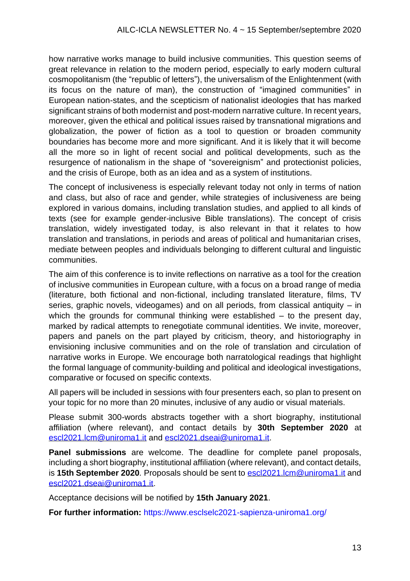how narrative works manage to build inclusive communities. This question seems of great relevance in relation to the modern period, especially to early modern cultural cosmopolitanism (the "republic of letters"), the universalism of the Enlightenment (with its focus on the nature of man), the construction of "imagined communities" in European nation-states, and the scepticism of nationalist ideologies that has marked significant strains of both modernist and post-modern narrative culture. In recent years, moreover, given the ethical and political issues raised by transnational migrations and globalization, the power of fiction as a tool to question or broaden community boundaries has become more and more significant. And it is likely that it will become all the more so in light of recent social and political developments, such as the resurgence of nationalism in the shape of "sovereignism" and protectionist policies, and the crisis of Europe, both as an idea and as a system of institutions.

The concept of inclusiveness is especially relevant today not only in terms of nation and class, but also of race and gender, while strategies of inclusiveness are being explored in various domains, including translation studies, and applied to all kinds of texts (see for example gender-inclusive Bible translations). The concept of crisis translation, widely investigated today, is also relevant in that it relates to how translation and translations, in periods and areas of political and humanitarian crises, mediate between peoples and individuals belonging to different cultural and linguistic communities.

The aim of this conference is to invite reflections on narrative as a tool for the creation of inclusive communities in European culture, with a focus on a broad range of media (literature, both fictional and non-fictional, including translated literature, films, TV series, graphic novels, videogames) and on all periods, from classical antiquity – in which the grounds for communal thinking were established – to the present day, marked by radical attempts to renegotiate communal identities. We invite, moreover, papers and panels on the part played by criticism, theory, and historiography in envisioning inclusive communities and on the role of translation and circulation of narrative works in Europe. We encourage both narratological readings that highlight the formal language of community-building and political and ideological investigations, comparative or focused on specific contexts.

All papers will be included in sessions with four presenters each, so plan to present on your topic for no more than 20 minutes, inclusive of any audio or visual materials.

Please submit 300-words abstracts together with a short biography, institutional affiliation (where relevant), and contact details by **30th September 2020** at [escl2021.lcm@uniroma1.it](mailto:escl2021.lcm@uniroma1.it) and [escl2021.dseai@uniroma1.it.](mailto:escl2021.dseai@uniroma1.it)

**Panel submissions** are welcome. The deadline for complete panel proposals, including a short biography, institutional affiliation (where relevant), and contact details, is **15th September 2020***.* Proposals should be sent to [escl2021.lcm@uniroma1.it](mailto:escl2021.dseai@uniroma1.it) and [escl2021.dseai@uniroma1.it.](mailto:escl2021.dseai@uniroma1.it)

Acceptance decisions will be notified by **15th January 2021**.

**For further information:** https://www.esclselc2021-sapienza-uniroma1.org/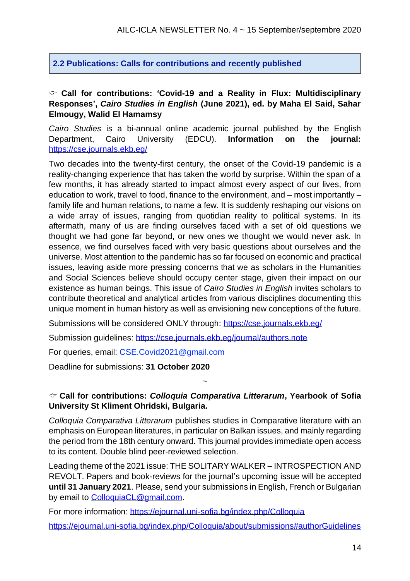# **2.2 Publications: Calls for contributions and recently published**

### **Call for contributions: 'Covid-19 and a Reality in Flux: Multidisciplinary Responses',** *Cairo Studies in English* **(June 2021), ed. by Maha El Said, Sahar Elmougy, Walid El Hamamsy**

*Cairo Studies* is a bi-annual online academic journal published by the English Department, Cairo University (EDCU). **Information on the journal:** <https://cse.journals.ekb.eg/>

Two decades into the twenty-first century, the onset of the Covid-19 pandemic is a reality-changing experience that has taken the world by surprise. Within the span of a few months, it has already started to impact almost every aspect of our lives, from education to work, travel to food, finance to the environment, and – most importantly – family life and human relations, to name a few. It is suddenly reshaping our visions on a wide array of issues, ranging from quotidian reality to political systems. In its aftermath, many of us are finding ourselves faced with a set of old questions we thought we had gone far beyond, or new ones we thought we would never ask. In essence, we find ourselves faced with very basic questions about ourselves and the universe. Most attention to the pandemic has so far focused on economic and practical issues, leaving aside more pressing concerns that we as scholars in the Humanities and Social Sciences believe should occupy center stage, given their impact on our existence as human beings. This issue of *Cairo Studies in English* invites scholars to contribute theoretical and analytical articles from various disciplines documenting this unique moment in human history as well as envisioning new conceptions of the future.

Submissions will be considered ONLY through:<https://cse.journals.ekb.eg/>

Submission guidelines:<https://cse.journals.ekb.eg/journal/authors.note>

For queries, email: CSE.Covid2021@gmail.com

Deadline for submissions: **31 October 2020** 

### **Call for contributions:** *Colloquia Comparativa Litterarum***, Yearbook of Sofia University St Kliment Ohridski, Bulgaria.**

~

*Colloquia Comparativa Litterarum* publishes studies in Comparative literature with an emphasis on European literatures, in particular on Balkan issues, and mainly regarding the period from the 18th century onward. This journal provides immediate open access to its content. Double blind peer-reviewed selection.

Leading theme of the 2021 issue: THE SOLITARY WALKER – INTROSPECTION AND REVOLT. Papers and book-reviews for the journal's upcoming issue will be accepted **until 31 January 2021**. Please, send your submissions in English, French or Bulgarian by email to [ColloquiaCL@gmail.com.](mailto:ColloquiaCL@gmail.com)

For more information:<https://ejournal.uni-sofia.bg/index.php/Colloquia>

<https://ejournal.uni-sofia.bg/index.php/Colloquia/about/submissions#authorGuidelines>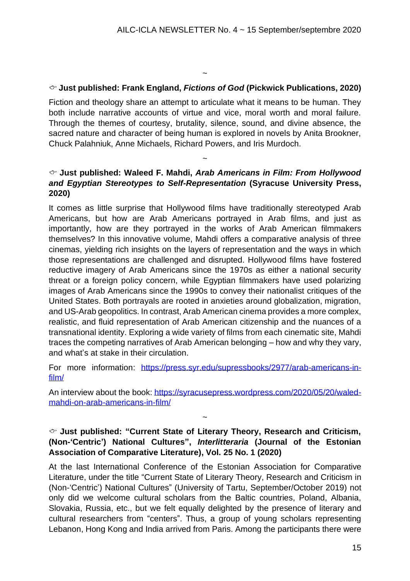# ~ **Just published: Frank England,** *Fictions of God* **(Pickwick Publications, 2020)**

Fiction and theology share an attempt to articulate what it means to be human. They both include narrative accounts of virtue and vice, moral worth and moral failure. Through the themes of courtesy, brutality, silence, sound, and divine absence, the sacred nature and character of being human is explored in novels by Anita Brookner, Chuck Palahniuk, Anne Michaels, Richard Powers, and Iris Murdoch.

### **Just published: Waleed F. Mahdi,** *Arab Americans in Film: From Hollywood and Egyptian Stereotypes to Self-Representation* **(Syracuse University Press, 2020)**

~

It comes as little surprise that Hollywood films have traditionally stereotyped Arab Americans, but how are Arab Americans portrayed in Arab films, and just as importantly, how are they portrayed in the works of Arab American filmmakers themselves? In this innovative volume, Mahdi offers a comparative analysis of three cinemas, yielding rich insights on the layers of representation and the ways in which those representations are challenged and disrupted. Hollywood films have fostered reductive imagery of Arab Americans since the 1970s as either a national security threat or a foreign policy concern, while Egyptian filmmakers have used polarizing images of Arab Americans since the 1990s to convey their nationalist critiques of the United States. Both portrayals are rooted in anxieties around globalization, migration, and US-Arab geopolitics. In contrast, Arab American cinema provides a more complex, realistic, and fluid representation of Arab American citizenship and the nuances of a transnational identity. Exploring a wide variety of films from each cinematic site, Mahdi traces the competing narratives of Arab American belonging – how and why they vary, and what's at stake in their circulation.

For more information: [https://press.syr.edu/supressbooks/2977/arab-americans-in](https://press.syr.edu/supressbooks/2977/arab-americans-in-film/)[film/](https://press.syr.edu/supressbooks/2977/arab-americans-in-film/)

An interview about the book: [https://syracusepress.wordpress.com/2020/05/20/waled](https://syracusepress.wordpress.com/2020/05/20/waled-mahdi-on-arab-americans-in-film/)[mahdi-on-arab-americans-in-film/](https://syracusepress.wordpress.com/2020/05/20/waled-mahdi-on-arab-americans-in-film/)

~

### **Just published: "Current State of Literary Theory, Research and Criticism, (Non-'Centric') National Cultures",** *Interlitteraria* **(Journal of the Estonian Association of Comparative Literature), Vol. 25 No. 1 (2020)**

At the last International Conference of the Estonian Association for Comparative Literature, under the title "Current State of Literary Theory, Research and Criticism in (Non-'Centric') National Cultures" (University of Tartu, September/October 2019) not only did we welcome cultural scholars from the Baltic countries, Poland, Albania, Slovakia, Russia, etc., but we felt equally delighted by the presence of literary and cultural researchers from "centers". Thus, a group of young scholars representing Lebanon, Hong Kong and India arrived from Paris. Among the participants there were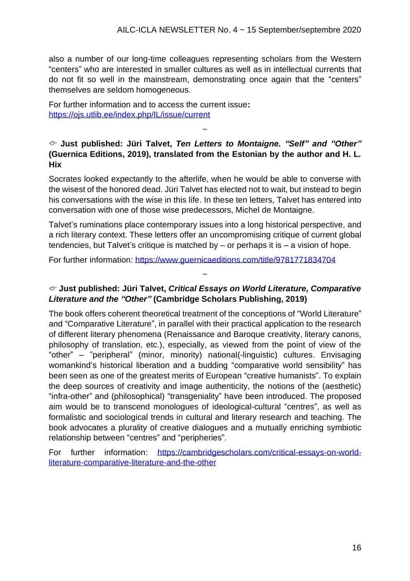also a number of our long-time colleagues representing scholars from the Western "centers" who are interested in smaller cultures as well as in intellectual currents that do not fit so well in the mainstream, demonstrating once again that the "centers" themselves are seldom homogeneous.

For further information and to access the current issue**:**  <https://ojs.utlib.ee/index.php/IL/issue/current>

### **Just published: Jüri Talvet,** *Ten Letters to Montaigne. "Self" and "Other"* **(Guernica Editions, 2019), translated from the Estonian by the author and H. L. Hix**

 $\sim$ 

Socrates looked expectantly to the afterlife, when he would be able to converse with the wisest of the honored dead. Jüri Talvet has elected not to wait, but instead to begin his conversations with the wise in this life. In these ten letters, Talvet has entered into conversation with one of those wise predecessors, Michel de Montaigne.

Talvet's ruminations place contemporary issues into a long historical perspective, and a rich literary context. These letters offer an uncompromising critique of current global tendencies, but Talvet's critique is matched by  $-$  or perhaps it is  $-$  a vision of hope.

For further information: <https://www.guernicaeditions.com/title/9781771834704>

### **Just published: Jüri Talvet,** *Critical Essays on World Literature, Comparative Literature and the "Other"* **(Cambridge Scholars Publishing, 2019)**

~

The book offers coherent theoretical treatment of the conceptions of "World Literature" and "Comparative Literature", in parallel with their practical application to the research of different literary phenomena (Renaissance and Baroque creativity, literary canons, philosophy of translation, etc.), especially, as viewed from the point of view of the "other" – "peripheral" (minor, minority) national(-linguistic) cultures. Envisaging womankind's historical liberation and a budding "comparative world sensibility" has been seen as one of the greatest merits of European "creative humanists". To explain the deep sources of creativity and image authenticity, the notions of the (aesthetic) "infra-other" and (philosophical) "transgeniality" have been introduced. The proposed aim would be to transcend monologues of ideological-cultural "centres", as well as formalistic and sociological trends in cultural and literary research and teaching. The book advocates a plurality of creative dialogues and a mutually enriching symbiotic relationship between "centres" and "peripheries".

For further information: [https://cambridgescholars.com/critical-essays-on-world](https://cambridgescholars.com/critical-essays-on-world-literature-comparative-literature-and-the-other)[literature-comparative-literature-and-the-other](https://cambridgescholars.com/critical-essays-on-world-literature-comparative-literature-and-the-other)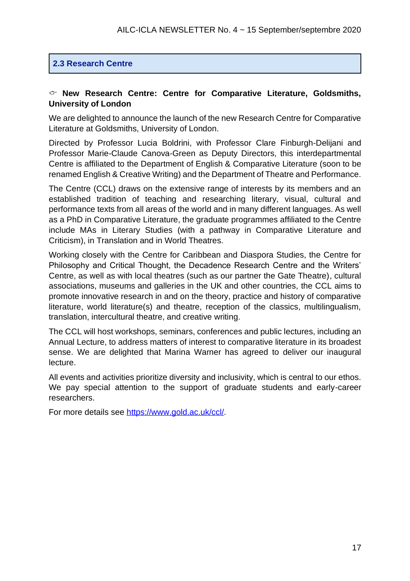### **2.3 Research Centre**

### **New Research Centre: Centre for Comparative Literature, Goldsmiths, University of London**

We are delighted to announce the launch of the new Research Centre for Comparative Literature at Goldsmiths, University of London.

Directed by Professor Lucia Boldrini, with Professor Clare Finburgh-Delijani and Professor Marie-Claude Canova-Green as Deputy Directors, this interdepartmental Centre is affiliated to the Department of English & Comparative Literature (soon to be renamed English & Creative Writing) and the Department of Theatre and Performance.

The Centre (CCL) draws on the extensive range of interests by its members and an established tradition of teaching and researching literary, visual, cultural and performance texts from all areas of the world and in many different languages. As well as a PhD in Comparative Literature, the graduate programmes affiliated to the Centre include MAs in Literary Studies (with a pathway in Comparative Literature and Criticism), in Translation and in World Theatres.

Working closely with the Centre for Caribbean and Diaspora Studies, the Centre for Philosophy and Critical Thought, the Decadence Research Centre and the Writers' Centre, as well as with local theatres (such as our partner the Gate Theatre), cultural associations, museums and galleries in the UK and other countries, the CCL aims to promote innovative research in and on the theory, practice and history of comparative literature, world literature(s) and theatre, reception of the classics, multilingualism, translation, intercultural theatre, and creative writing.

The CCL will host workshops, seminars, conferences and public lectures, including an Annual Lecture, to address matters of interest to comparative literature in its broadest sense. We are delighted that Marina Warner has agreed to deliver our inaugural lecture.

All events and activities prioritize diversity and inclusivity, which is central to our ethos. We pay special attention to the support of graduate students and early-career researchers.

For more details see [https://www.gold.ac.uk/ccl/.](https://www.gold.ac.uk/ccl/)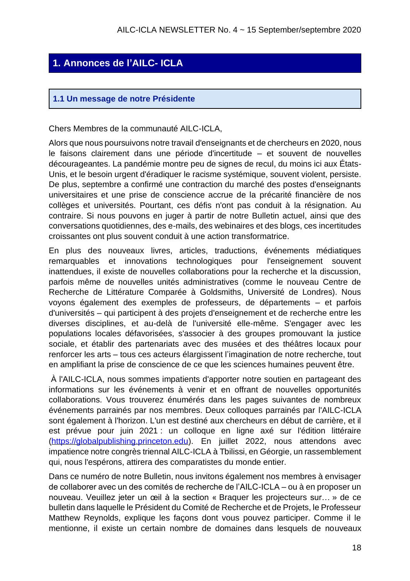# **1. Annonces de l'AILC- ICLA**

### **1.1 Un message de notre Présidente**

Chers Membres de la communauté AILC-ICLA,

Alors que nous poursuivons notre travail d'enseignants et de chercheurs en 2020, nous le faisons clairement dans une période d'incertitude – et souvent de nouvelles décourageantes. La pandémie montre peu de signes de recul, du moins ici aux États-Unis, et le besoin urgent d'éradiquer le racisme systémique, souvent violent, persiste. De plus, septembre a confirmé une contraction du marché des postes d'enseignants universitaires et une prise de conscience accrue de la précarité financière de nos collèges et universités. Pourtant, ces défis n'ont pas conduit à la résignation. Au contraire. Si nous pouvons en juger à partir de notre Bulletin actuel, ainsi que des conversations quotidiennes, des e-mails, des webinaires et des blogs, ces incertitudes croissantes ont plus souvent conduit à une action transformatrice.

En plus des nouveaux livres, articles, traductions, événements médiatiques remarquables et innovations technologiques pour l'enseignement souvent inattendues, il existe de nouvelles collaborations pour la recherche et la discussion, parfois même de nouvelles unités administratives (comme le nouveau Centre de Recherche de Littérature Comparée à Goldsmiths, Université de Londres). Nous voyons également des exemples de professeurs, de départements – et parfois d'universités – qui participent à des projets d'enseignement et de recherche entre les diverses disciplines, et au-delà de l'université elle-même. S'engager avec les populations locales défavorisées, s'associer à des groupes promouvant la justice sociale, et établir des partenariats avec des musées et des théâtres locaux pour renforcer les arts – tous ces acteurs élargissent l'imagination de notre recherche, tout en amplifiant la prise de conscience de ce que les sciences humaines peuvent être.

À l'AILC-ICLA, nous sommes impatients d'apporter notre soutien en partageant des informations sur les événements à venir et en offrant de nouvelles opportunités collaborations. Vous trouverez énumérés dans les pages suivantes de nombreux événements parrainés par nos membres. Deux colloques parrainés par l'AILC-ICLA sont également à l'horizon. L'un est destiné aux chercheurs en début de carrière, et il est prévue pour juin 2021 : un colloque en ligne axé sur l'édition littéraire [\(https://globalpublishing.princeton.edu\)](https://globalpublishing.princeton.edu/). En juillet 2022, nous attendons avec impatience notre congrès triennal AILC-ICLA à Tbilissi, en Géorgie, un rassemblement qui, nous l'espérons, attirera des comparatistes du monde entier.

Dans ce numéro de notre Bulletin, nous invitons également nos membres à envisager de collaborer avec un des comités de recherche de l'AILC-ICLA – ou à en proposer un nouveau. Veuillez jeter un œil à la section « Braquer les projecteurs sur… » de ce bulletin dans laquelle le Président du Comité de Recherche et de Projets, le Professeur Matthew Reynolds, explique les façons dont vous pouvez participer. Comme il le mentionne, il existe un certain nombre de domaines dans lesquels de nouveaux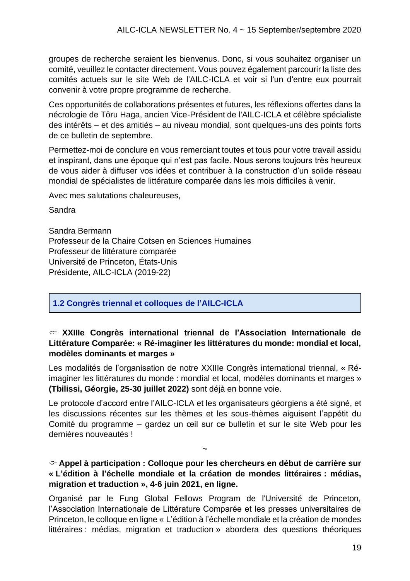groupes de recherche seraient les bienvenus. Donc, si vous souhaitez organiser un comité, veuillez le contacter directement. Vous pouvez également parcourir la liste des comités actuels sur le site Web de l'AILC-ICLA et voir si l'un d'entre eux pourrait convenir à votre propre programme de recherche.

Ces opportunités de collaborations présentes et futures, les réflexions offertes dans la nécrologie de Tôru Haga, ancien Vice-Président de l'AILC-ICLA et célèbre spécialiste des intérêts – et des amitiés – au niveau mondial, sont quelques-uns des points forts de ce bulletin de septembre.

Permettez-moi de conclure en vous remerciant toutes et tous pour votre travail assidu et inspirant, dans une époque qui n'est pas facile. Nous serons toujours très heureux de vous aider à diffuser vos idées et contribuer à la construction d'un solide réseau mondial de spécialistes de littérature comparée dans les mois difficiles à venir.

Avec mes salutations chaleureuses,

Sandra

Sandra Bermann Professeur de la Chaire Cotsen en Sciences Humaines Professeur de littérature comparée Université de Princeton, États-Unis Présidente, AILC-ICLA (2019-22)

# **1.2 Congrès triennal et colloques de l'AILC-ICLA**

### **XXIIIe Congrès international triennal de l'Association Internationale de Littérature Comparée: « Ré-imaginer les littératures du monde: mondial et local, modèles dominants et marges »**

Les modalités de l'organisation de notre XXIIIe Congrès international triennal, « Réimaginer les littératures du monde : mondial et local, modèles dominants et marges » **(Tbilissi, Géorgie, 25-30 juillet 2022)** sont déjà en bonne voie.

Le protocole d'accord entre l'AILC-ICLA et les organisateurs géorgiens a été signé, et les discussions récentes sur les thèmes et les sous-thèmes aiguisent l'appétit du Comité du programme – gardez un œil sur ce bulletin et sur le site Web pour les dernières nouveautés !

### **Appel à participation : Colloque pour les chercheurs en début de carrière sur « L'édition à l'échelle mondiale et la création de mondes littéraires : médias, migration et traduction », 4-6 juin 2021, en ligne.**

**~**

Organisé par le Fung Global Fellows Program de l'Université de Princeton, l'Association Internationale de Littérature Comparée et les presses universitaires de Princeton, le colloque en ligne « L'édition à l'échelle mondiale et la création de mondes littéraires : médias, migration et traduction » abordera des questions théoriques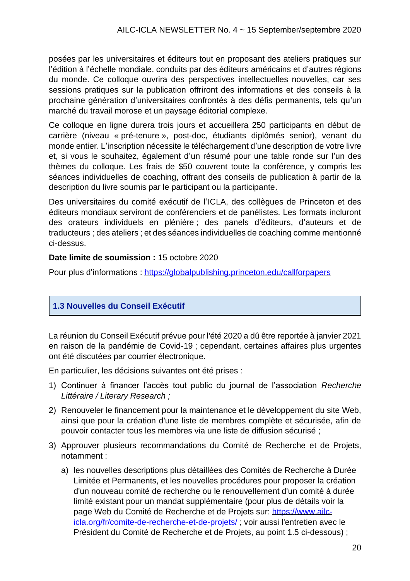posées par les universitaires et éditeurs tout en proposant des ateliers pratiques sur l'édition à l'échelle mondiale, conduits par des éditeurs américains et d'autres régions du monde. Ce colloque ouvrira des perspectives intellectuelles nouvelles, car ses sessions pratiques sur la publication offriront des informations et des conseils à la prochaine génération d'universitaires confrontés à des défis permanents, tels qu'un marché du travail morose et un paysage éditorial complexe.

Ce colloque en ligne durera trois jours et accueillera 250 participants en début de carrière (niveau « pré-tenure », post-doc, étudiants diplômés senior), venant du monde entier. L'inscription nécessite le téléchargement d'une description de votre livre et, si vous le souhaitez, également d'un résumé pour une table ronde sur l'un des thèmes du colloque. Les frais de \$50 couvrent toute la conférence, y compris les séances individuelles de coaching, offrant des conseils de publication à partir de la description du livre soumis par le participant ou la participante.

Des universitaires du comité exécutif de l'ICLA, des collègues de Princeton et des éditeurs mondiaux serviront de conférenciers et de panélistes. Les formats incluront des orateurs individuels en plénière ; des panels d'éditeurs, d'auteurs et de traducteurs ; des ateliers ; et des séances individuelles de coaching comme mentionné ci-dessus.

# **Date limite de soumission :** 15 octobre 2020

Pour plus d'informations : <https://globalpublishing.princeton.edu/callforpapers>

# **1.3 Nouvelles du Conseil Exécutif**

La réunion du Conseil Exécutif prévue pour l'été 2020 a dû être reportée à janvier 2021 en raison de la pandémie de Covid-19 ; cependant, certaines affaires plus urgentes ont été discutées par courrier électronique.

En particulier, les décisions suivantes ont été prises :

- 1) Continuer à financer l'accès tout public du journal de l'association *Recherche Littéraire / Literary Research ;*
- 2) Renouveler le financement pour la maintenance et le développement du site Web, ainsi que pour la création d'une liste de membres complète et sécurisée, afin de pouvoir contacter tous les membres via une liste de diffusion sécurisé ;
- 3) Approuver plusieurs recommandations du Comité de Recherche et de Projets, notamment :
	- a) les nouvelles descriptions plus détaillées des Comités de Recherche à Durée Limitée et Permanents, et les nouvelles procédures pour proposer la création d'un nouveau comité de recherche ou le renouvellement d'un comité à durée limité existant pour un mandat supplémentaire (pour plus de détails voir la page Web du Comité de Recherche et de Projets sur: [https://www.ailc](https://www.ailc-icla.org/fr/comite-de-recherche-et-de-projets/)[icla.org/fr/comite-de-recherche-et-de-projets/](https://www.ailc-icla.org/fr/comite-de-recherche-et-de-projets/) ; voir aussi l'entretien avec le Président du Comité de Recherche et de Projets, au point 1.5 ci-dessous) ;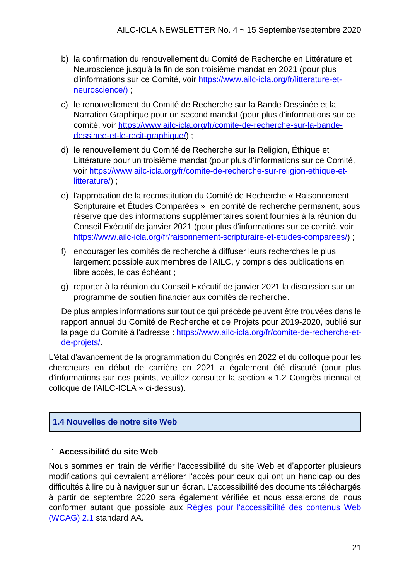- b) la confirmation du renouvellement du Comité de Recherche en Littérature et Neuroscience jusqu'à la fin de son troisième mandat en 2021 (pour plus d'informations sur ce Comité, voir [https://www.ailc-icla.org/fr/litterature-et](https://www.ailc-icla.org/fr/litterature-et-neuroscience/))[neuroscience/\)](https://www.ailc-icla.org/fr/litterature-et-neuroscience/)) ;
- c) le renouvellement du Comité de Recherche sur la Bande Dessinée et la Narration Graphique pour un second mandat (pour plus d'informations sur ce comité, voir [https://www.ailc-icla.org/fr/comite-de-recherche-sur-la-bande](https://www.ailc-icla.org/fr/comite-de-recherche-sur-la-bande-dessinee-et-le-recit-graphique/)[dessinee-et-le-recit-graphique/\)](https://www.ailc-icla.org/fr/comite-de-recherche-sur-la-bande-dessinee-et-le-recit-graphique/) ;
- d) le renouvellement du Comité de Recherche sur la Religion, Éthique et Littérature pour un troisième mandat (pour plus d'informations sur ce Comité, voir [https://www.ailc-icla.org/fr/comite-de-recherche-sur-religion-ethique-et](https://www.ailc-icla.org/fr/comite-de-recherche-sur-religion-ethique-et-litterature/)[litterature/\)](https://www.ailc-icla.org/fr/comite-de-recherche-sur-religion-ethique-et-litterature/) ;
- e) l'approbation de la reconstitution du Comité de Recherche « Raisonnement Scripturaire et Études Comparées » en comité de recherche permanent, sous réserve que des informations supplémentaires soient fournies à la réunion du Conseil Exécutif de janvier 2021 (pour plus d'informations sur ce comité, voir [https://www.ailc-icla.org/fr/raisonnement-scripturaire-et-etudes-comparees/\)](https://www.ailc-icla.org/fr/raisonnement-scripturaire-et-etudes-comparees/) ;
- f) encourager les comités de recherche à diffuser leurs recherches le plus largement possible aux membres de l'AILC, y compris des publications en libre accès, le cas échéant ;
- g) reporter à la réunion du Conseil Exécutif de janvier 2021 la discussion sur un programme de soutien financier aux comités de recherche.

De plus amples informations sur tout ce qui précède peuvent être trouvées dans le rapport annuel du Comité de Recherche et de Projets pour 2019-2020, publié sur la page du Comité à l'adresse : [https://www.ailc-icla.org/fr/comite-de-recherche-et](https://www.ailc-icla.org/fr/comite-de-recherche-et-de-projets/)[de-projets/.](https://www.ailc-icla.org/fr/comite-de-recherche-et-de-projets/)

L'état d'avancement de la programmation du Congrès en 2022 et du colloque pour les chercheurs en début de carrière en 2021 a également été discuté (pour plus d'informations sur ces points, veuillez consulter la section « 1.2 Congrès triennal et colloque de l'AILC-ICLA » ci-dessus).

### **1.4 Nouvelles de notre site Web**

### **Accessibilité du site Web**

Nous sommes en train de vérifier l'accessibilité du site Web et d'apporter plusieurs modifications qui devraient améliorer l'accès pour ceux qui ont un handicap ou des difficultés à lire ou à naviguer sur un écran. L'accessibilité des documents téléchargés à partir de septembre 2020 sera également vérifiée et nous essaierons de nous conformer autant que possible aux [Règles pour l'accessibilité des contenus Web](https://www.w3.org/TR/WCAG21/)  [\(WCAG\) 2.1](https://www.w3.org/TR/WCAG21/) standard AA.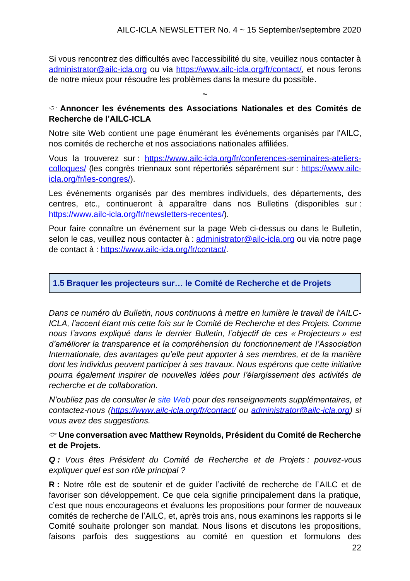Si vous rencontrez des difficultés avec l'accessibilité du site, veuillez nous contacter à [administrator@ailc-icla.org](mailto:administrator@ailc-icla.org) ou via [https://www.ailc-icla.org/fr/contact/,](https://www.ailc-icla.org/fr/contact/) et nous ferons de notre mieux pour résoudre les problèmes dans la mesure du possible.

### **Annoncer les événements des Associations Nationales et des Comités de Recherche de l'AILC-ICLA**

**~**

Notre site Web contient une page énumérant les événements organisés par l'AILC, nos comités de recherche et nos associations nationales affiliées.

Vous la trouverez sur : [https://www.ailc-icla.org/fr/conferences-seminaires-ateliers](https://www.ailc-icla.org/fr/conferences-seminaires-ateliers-colloques/)[colloques/](https://www.ailc-icla.org/fr/conferences-seminaires-ateliers-colloques/) (les congrès triennaux sont répertoriés séparément sur : [https://www.ailc](https://www.ailc-icla.org/fr/les-congres/)[icla.org/fr/les-congres/\)](https://www.ailc-icla.org/fr/les-congres/).

Les événements organisés par des membres individuels, des départements, des centres, etc., continueront à apparaître dans nos Bulletins (disponibles sur : [https://www.ailc-icla.org/fr/newsletters-recentes/\)](https://www.ailc-icla.org/fr/newsletters-recentes/).

Pour faire connaître un événement sur la page Web ci-dessus ou dans le Bulletin, selon le cas, veuillez nous contacter à : [administrator@ailc-icla.org](mailto:administrator@ailc-icla.org) ou via notre page de contact à : [https://www.ailc-icla.org/fr/contact/.](https://www.ailc-icla.org/fr/contact/)

### **1.5 Braquer les projecteurs sur… le Comité de Recherche et de Projets**

*Dans ce numéro du Bulletin, nous continuons à mettre en lumière le travail de l'AILC-ICLA, l'accent étant mis cette fois sur le Comité de Recherche et des Projets. Comme nous l'avons expliqué dans le dernier Bulletin, l'objectif de ces « Projecteurs » est d'améliorer la transparence et la compréhension du fonctionnement de l'Association Internationale, des avantages qu'elle peut apporter à ses membres, et de la manière dont les individus peuvent participer à ses travaux. Nous espérons que cette initiative pourra également inspirer de nouvelles idées pour l'élargissement des activités de recherche et de collaboration.*

*N'oubliez pas de consulter le site [Web](https://www.ailc-icla.org/fr/) pour des renseignements supplémentaires, et contactez-nous [\(https://www.ailc-icla.org/fr/contact/](https://www.ailc-icla.org/fr/contact/) ou [administrator@ailc-icla.org\)](mailto:administrator@ailc-icla.org) si vous avez des suggestions.*

### **Une conversation avec Matthew Reynolds, Président du Comité de Recherche et de Projets.**

*Q : Vous êtes Président du Comité de Recherche et de Projets : pouvez-vous expliquer quel est son rôle principal ?*

**R :** Notre rôle est de soutenir et de guider l'activité de recherche de l'AILC et de favoriser son développement. Ce que cela signifie principalement dans la pratique, c'est que nous encourageons et évaluons les propositions pour former de nouveaux comités de recherche de l'AILC, et, après trois ans, nous examinons les rapports si le Comité souhaite prolonger son mandat. Nous lisons et discutons les propositions, faisons parfois des suggestions au comité en question et formulons des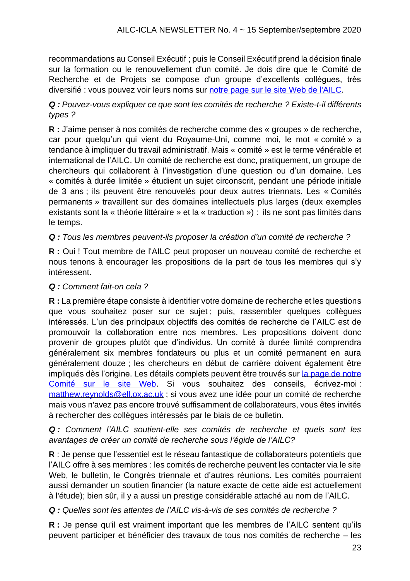recommandations au Conseil Exécutif ; puis le Conseil Exécutif prend la décision finale sur la formation ou le renouvellement d'un comité. Je dois dire que le Comité de Recherche et de Projets se compose d'un groupe d'excellents collègues, très diversifié : vous pouvez voir leurs noms sur [notre page sur le site Web de l'AILC.](https://www.ailc-icla.org/fr/comite-de-recherche-et-de-projets/)

### *Q : Pouvez-vous expliquer ce que sont les comités de recherche ? Existe-t-il différents types ?*

**R :** J'aime penser à nos comités de recherche comme des « groupes » de recherche, car pour quelqu'un qui vient du Royaume-Uni, comme moi, le mot « comité » a tendance à impliquer du travail administratif. Mais « comité » est le terme vénérable et international de l'AILC. Un comité de recherche est donc, pratiquement, un groupe de chercheurs qui collaborent à l'investigation d'une question ou d'un domaine. Les « comités à durée limitée » étudient un sujet circonscrit, pendant une période initiale de 3 ans ; ils peuvent être renouvelés pour deux autres triennats. Les « Comités permanents » travaillent sur des domaines intellectuels plus larges (deux exemples existants sont la « théorie littéraire » et la « traduction ») : ils ne sont pas limités dans le temps.

### *Q : Tous les membres peuvent-ils proposer la création d'un comité de recherche ?*

**R :** Oui ! Tout membre de l'AILC peut proposer un nouveau comité de recherche et nous tenons à encourager les propositions de la part de tous les membres qui s'y intéressent.

### *Q : Comment fait-on cela ?*

**R :** La première étape consiste à identifier votre domaine de recherche et les questions que vous souhaitez poser sur ce sujet ; puis, rassembler quelques collègues intéressés. L'un des principaux objectifs des comités de recherche de l'AILC est de promouvoir la collaboration entre nos membres. Les propositions doivent donc provenir de groupes plutôt que d'individus. Un comité à durée limité comprendra généralement six membres fondateurs ou plus et un comité permanent en aura généralement douze ; les chercheurs en début de carrière doivent également être impliqués dès l'origine. Les détails complets peuvent être trouvés sur la page de notre [Comité sur le site Web.](https://www.ailc-icla.org/fr/comite-de-recherche-et-de-projets/) Si vous souhaitez des conseils, écrivez-moi : [matthew.reynolds@ell.ox.ac.uk](mailto:matthew.reynolds@ell.ox.ac.uk) ; si vous avez une idée pour un comité de recherche mais vous n'avez pas encore trouvé suffisamment de collaborateurs, vous êtes invités à rechercher des collègues intéressés par le biais de ce bulletin.

### *Q : Comment l'AILC soutient-elle ses comités de recherche et quels sont les avantages de créer un comité de recherche sous l'égide de l'AILC?*

**R** : Je pense que l'essentiel est le réseau fantastique de collaborateurs potentiels que l'AILC offre à ses membres : les comités de recherche peuvent les contacter via le site Web, le bulletin, le Congrès triennale et d'autres réunions. Les comités pourraient aussi demander un soutien financier (la nature exacte de cette aide est actuellement à l'étude); bien sûr, il y a aussi un prestige considérable attaché au nom de l'AILC.

# *Q : Quelles sont les attentes de l'AILC vis-à-vis de ses comités de recherche ?*

**R :** Je pense qu'il est vraiment important que les membres de l'AILC sentent qu'ils peuvent participer et bénéficier des travaux de tous nos comités de recherche – les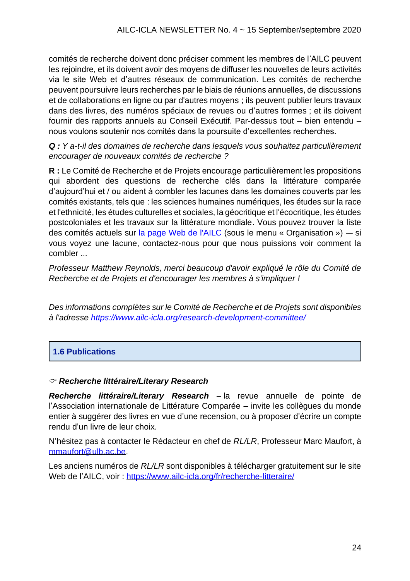comités de recherche doivent donc préciser comment les membres de l'AILC peuvent les rejoindre, et ils doivent avoir des moyens de diffuser les nouvelles de leurs activités via le site Web et d'autres réseaux de communication. Les comités de recherche peuvent poursuivre leurs recherches par le biais de réunions annuelles, de discussions et de collaborations en ligne ou par d'autres moyens ; ils peuvent publier leurs travaux dans des livres, des numéros spéciaux de revues ou d'autres formes ; et ils doivent fournir des rapports annuels au Conseil Exécutif. Par-dessus tout – bien entendu – nous voulons soutenir nos comités dans la poursuite d'excellentes recherches.

*Q : Y a-t-il des domaines de recherche dans lesquels vous souhaitez particulièrement encourager de nouveaux comités de recherche ?*

**R :** Le Comité de Recherche et de Projets encourage particulièrement les propositions qui abordent des questions de recherche clés dans la littérature comparée d'aujourd'hui et / ou aident à combler les lacunes dans les domaines couverts par les comités existants, tels que : les sciences humaines numériques, les études sur la race et l'ethnicité, les études culturelles et sociales, la géocritique et l'écocritique, les études postcoloniales et les travaux sur la littérature mondiale. Vous pouvez trouver la liste des comités actuels sur [la page Web de l'AILC](https://www.ailc-icla.org/fr/) (sous le menu « Organisation ») -– si vous voyez une lacune, contactez-nous pour que nous puissions voir comment la combler ...

*Professeur Matthew Reynolds, merci beaucoup d'avoir expliqué le rôle du Comité de Recherche et de Projets et d'encourager les membres à s'impliquer !*

*Des informations complètes sur le Comité de Recherche et de Projets sont disponibles à l'adresse<https://www.ailc-icla.org/research-development-committee/>*

# **1.6 Publications**

### *Recherche littéraire/Literary Research*

*Recherche littéraire/Literary Research* – la revue annuelle de pointe de l'Association internationale de Littérature Comparée – invite les collègues du monde entier à suggérer des livres en vue d'une recension, ou à proposer d'écrire un compte rendu d'un livre de leur choix.

N'hésitez pas à contacter le Rédacteur en chef de *RL/LR*, Professeur Marc Maufort, à [mmaufort@ulb.ac.be.](mailto:mmaufort@ulb.ac.be)

Les anciens numéros de *RL/LR* sont disponibles à télécharger gratuitement sur le site Web de l'AILC, voir :<https://www.ailc-icla.org/fr/recherche-litteraire/>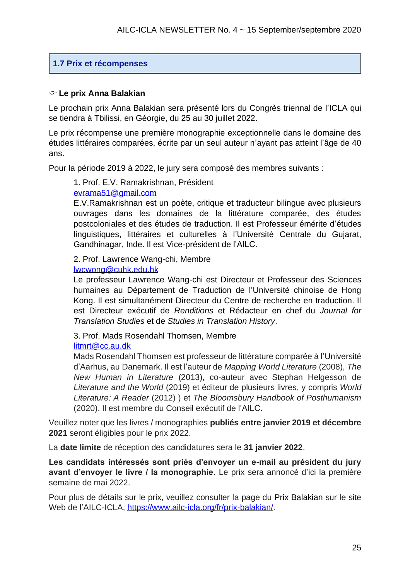### **1.7 Prix et récompenses**

#### **Le prix Anna Balakian**

Le prochain prix Anna Balakian sera présenté lors du Congrès triennal de l'ICLA qui se tiendra à Tbilissi, en Géorgie, du 25 au 30 juillet 2022.

Le prix récompense une première monographie exceptionnelle dans le domaine des études littéraires comparées, écrite par un seul auteur n'ayant pas atteint l'âge de 40 ans.

Pour la période 2019 à 2022, le jury sera composé des membres suivants :

1. Prof. E.V. Ramakrishnan, Président

[evrama51@gmail.com](mailto:evrama51@gmail.com)

E.V.Ramakrishnan est un poète, critique et traducteur bilingue avec plusieurs ouvrages dans les domaines de la littérature comparée, des études postcoloniales et des études de traduction. Il est Professeur émérite d'études linguistiques, littéraires et culturelles à l'Université Centrale du Gujarat, Gandhinagar, Inde. Il est Vice-président de l'AILC.

2. Prof. Lawrence Wang-chi, Membre

[lwcwong@cuhk.edu.hk](mailto:lwcwong@cuhk.edu.hk)

Le professeur Lawrence Wang-chi est Directeur et Professeur des Sciences humaines au Département de Traduction de l'Université chinoise de Hong Kong. Il est simultanément Directeur du Centre de recherche en traduction. Il est Directeur exécutif de *Renditions* et Rédacteur en chef du *Journal for Translation Studies* et de *Studies in Translation History*.

3. Prof. Mads Rosendahl Thomsen, Membre

[litmrt@cc.au.dk](mailto:litmrt@cc.au.dk)

Mads Rosendahl Thomsen est professeur de littérature comparée à l'Université d'Aarhus, au Danemark. Il est l'auteur de *Mapping World Literature* (2008), *The New Human in Literature* (2013), co-auteur avec Stephan Helgesson de *Literature and the World* (2019) et éditeur de plusieurs livres, y compris *World Literature: A Reader* (2012) ) et *The Bloomsbury Handbook of Posthumanism* (2020). Il est membre du Conseil exécutif de l'AILC.

Veuillez noter que les livres / monographies **publiés entre janvier 2019 et décembre 2021** seront éligibles pour le prix 2022.

La **date limite** de réception des candidatures sera le **31 janvier 2022**.

**Les candidats intéressés sont priés d'envoyer un e-mail au président du jury avant d'envoyer le livre / la monographie**. Le prix sera annoncé d'ici la première semaine de mai 2022.

Pour plus de détails sur le prix, veuillez consulter la page du Prix Balakian sur le site Web de l'AILC-ICLA, [https://www.ailc-icla.org/fr/prix-balakian/.](https://www.ailc-icla.org/fr/prix-balakian/)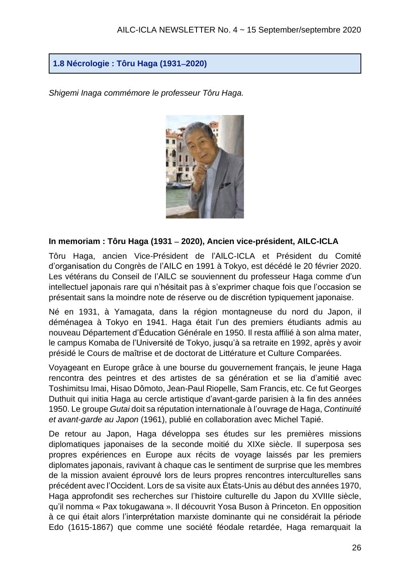# **1.8 Nécrologie : Tôru Haga (1931**−**2020)**

*Shigemi Inaga commémore le professeur Tôru Haga.*



### **In memoriam : Tôru Haga (1931** − **2020), Ancien vice-président, AILC-ICLA**

Tôru Haga, ancien Vice-Président de l'AILC-ICLA et Président du Comité d'organisation du Congrès de l'AILC en 1991 à Tokyo, est décédé le 20 février 2020. Les vétérans du Conseil de l'AILC se souviennent du professeur Haga comme d'un intellectuel japonais rare qui n'hésitait pas à s'exprimer chaque fois que l'occasion se présentait sans la moindre note de réserve ou de discrétion typiquement japonaise.

Né en 1931, à Yamagata, dans la région montagneuse du nord du Japon, il déménagea à Tokyo en 1941. Haga était l'un des premiers étudiants admis au nouveau Département d'Éducation Générale en 1950. Il resta affilié à son alma mater, le campus Komaba de l'Université de Tokyo, jusqu'à sa retraite en 1992, après y avoir présidé le Cours de maîtrise et de doctorat de Littérature et Culture Comparées.

Voyageant en Europe grâce à une bourse du gouvernement français, le jeune Haga rencontra des peintres et des artistes de sa génération et se lia d'amitié avec Toshimitsu Imai, Hisao Dômoto, Jean-Paul Riopelle, Sam Francis, etc. Ce fut Georges Duthuit qui initia Haga au cercle artistique d'avant-garde parisien à la fin des années 1950. Le groupe *Gutai* doit sa réputation internationale à l'ouvrage de Haga, *Continuité et avant-garde au Japon* (1961), publié en collaboration avec Michel Tapié.

De retour au Japon, Haga développa ses études sur les premières missions diplomatiques japonaises de la seconde moitié du XIXe siècle. Il superposa ses propres expériences en Europe aux récits de voyage laissés par les premiers diplomates japonais, ravivant à chaque cas le sentiment de surprise que les membres de la mission avaient éprouvé lors de leurs propres rencontres interculturelles sans précédent avec l'Occident. Lors de sa visite aux États-Unis au début des années 1970, Haga approfondit ses recherches sur l'histoire culturelle du Japon du XVIIIe siècle, qu'il nomma « Pax tokugawana ». Il découvrit Yosa Buson à Princeton. En opposition à ce qui était alors l'interprétation marxiste dominante qui ne considérait la période Edo (1615-1867) que comme une société féodale retardée, Haga remarquait la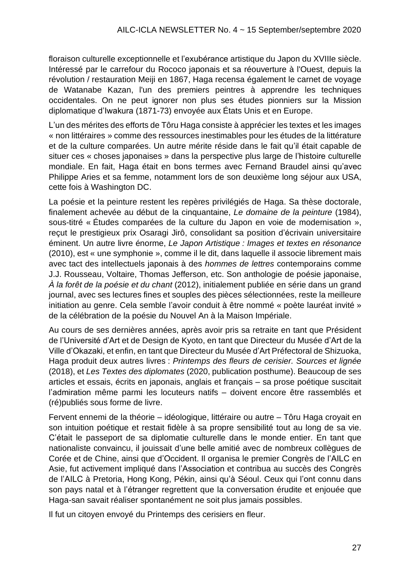floraison culturelle exceptionnelle et l'exubérance artistique du Japon du XVIIIe siècle. Intéressé par le carrefour du Rococo japonais et sa réouverture à l'Ouest, depuis la révolution / restauration Meiji en 1867, Haga recensa également le carnet de voyage de Watanabe Kazan, l'un des premiers peintres à apprendre les techniques occidentales. On ne peut ignorer non plus ses études pionniers sur la Mission diplomatique d'Iwakura (1871-73) envoyée aux États Unis et en Europe.

L'un des mérites des efforts de Tôru Haga consiste à apprécier les textes et les images « non littéraires » comme des ressources inestimables pour les études de la littérature et de la culture comparées. Un autre mérite réside dans le fait qu'il était capable de situer ces « choses japonaises » dans la perspective plus large de l'histoire culturelle mondiale. En fait, Haga était en bons termes avec Fernand Braudel ainsi qu'avec Philippe Aries et sa femme, notamment lors de son deuxième long séjour aux USA, cette fois à Washington DC.

La poésie et la peinture restent les repères privilégiés de Haga. Sa thèse doctorale, finalement achevée au début de la cinquantaine, *Le domaine de la peinture* (1984), sous-titré « Études comparées de la culture du Japon en voie de modernisation », reçut le prestigieux prix Osaragi Jirô, consolidant sa position d'écrivain universitaire éminent. Un autre livre énorme, *Le Japon Artistique : Images et textes en résonance* (2010), est « une symphonie », comme il le dit, dans laquelle il associe librement mais avec tact des intellectuels japonais à des *hommes de lettres* contemporains comme J.J. Rousseau, Voltaire, Thomas Jefferson, etc. Son anthologie de poésie japonaise, *À la forêt de la poésie et du chant* (2012), initialement publiée en série dans un grand journal, avec ses lectures fines et souples des pièces sélectionnées, reste la meilleure initiation au genre. Cela semble l'avoir conduit à être nommé « poète lauréat invité » de la célébration de la poésie du Nouvel An à la Maison Impériale.

Au cours de ses dernières années, après avoir pris sa retraite en tant que Président de l'Université d'Art et de Design de Kyoto, en tant que Directeur du Musée d'Art de la Ville d'Okazaki, et enfin, en tant que Directeur du Musée d'Art Préfectoral de Shizuoka, Haga produit deux autres livres : *Printemps des fleurs de cerisier. Sources et lignée* (2018), et *Les Textes des diplomates* (2020, publication posthume). Beaucoup de ses articles et essais, écrits en japonais, anglais et français – sa prose poétique suscitait l'admiration même parmi les locuteurs natifs – doivent encore être rassemblés et (ré)publiés sous forme de livre.

Fervent ennemi de la théorie – idéologique, littéraire ou autre – Tôru Haga croyait en son intuition poétique et restait fidèle à sa propre sensibilité tout au long de sa vie. C'était le passeport de sa diplomatie culturelle dans le monde entier. En tant que nationaliste convaincu, il jouissait d'une belle amitié avec de nombreux collègues de Corée et de Chine, ainsi que d'Occident. Il organisa le premier Congrès de l'AILC en Asie, fut activement impliqué dans l'Association et contribua au succès des Congrès de l'AILC à Pretoria, Hong Kong, Pékin, ainsi qu'à Séoul. Ceux qui l'ont connu dans son pays natal et à l'étranger regrettent que la conversation érudite et enjouée que Haga-san savait réaliser spontanément ne soit plus jamais possibles.

Il fut un citoyen envoyé du Printemps des cerisiers en fleur.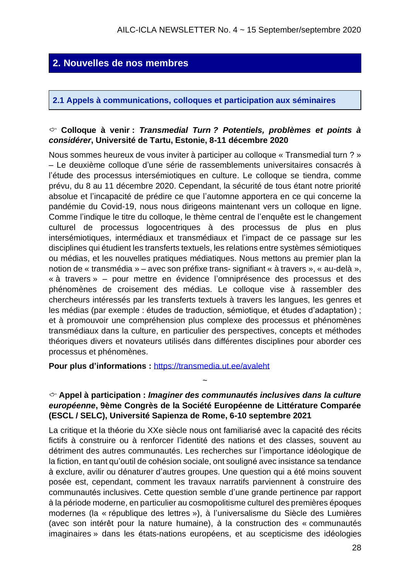# **2. Nouvelles de nos membres**

### **2.1 Appels à communications, colloques et participation aux séminaires**

### **Colloque à venir :** *Transmedial Turn ? Potentiels, problèmes et points à considérer***, Université de Tartu, Estonie, 8-11 décembre 2020**

Nous sommes heureux de vous inviter à participer au colloque « Transmedial turn ? » – Le deuxième colloque d'une série de rassemblements universitaires consacrés à l'étude des processus intersémiotiques en culture. Le colloque se tiendra, comme prévu, du 8 au 11 décembre 2020. Cependant, la sécurité de tous étant notre priorité absolue et l'incapacité de prédire ce que l'automne apportera en ce qui concerne la pandémie du Covid-19, nous nous dirigeons maintenant vers un colloque en ligne. Comme l'indique le titre du colloque, le thème central de l'enquête est le changement culturel de processus logocentriques à des processus de plus en plus intersémiotiques, intermédiaux et transmédiaux et l'impact de ce passage sur les disciplines qui étudient les transferts textuels, les relations entre systèmes sémiotiques ou médias, et les nouvelles pratiques médiatiques. Nous mettons au premier plan la notion de « transmédia » – avec son préfixe trans- signifiant « à travers », « au-delà », « à travers » – pour mettre en évidence l'omniprésence des processus et des phénomènes de croisement des médias. Le colloque vise à rassembler des chercheurs intéressés par les transferts textuels à travers les langues, les genres et les médias (par exemple : études de traduction, sémiotique, et études d'adaptation) ; et à promouvoir une compréhension plus complexe des processus et phénomènes transmédiaux dans la culture, en particulier des perspectives, concepts et méthodes théoriques divers et novateurs utilisés dans différentes disciplines pour aborder ces processus et phénomènes.

**Pour plus d'informations :** <https://transmedia.ut.ee/avaleht>

### **Appel à participation :** *Imaginer des communautés inclusives dans la culture européenne***, 9ème Congrès de la Société Européenne de Littérature Comparée (ESCL / SELC), Université Sapienza de Rome, 6-10 septembre 2021**

~

La critique et la théorie du XXe siècle nous ont familiarisé avec la capacité des récits fictifs à construire ou à renforcer l'identité des nations et des classes, souvent au détriment des autres communautés. Les recherches sur l'importance idéologique de la fiction, en tant qu'outil de cohésion sociale, ont souligné avec insistance sa tendance à exclure, avilir ou dénaturer d'autres groupes. Une question qui a été moins souvent posée est, cependant, comment les travaux narratifs parviennent à construire des communautés inclusives. Cette question semble d'une grande pertinence par rapport à la période moderne, en particulier au cosmopolitisme culturel des premières époques modernes (la « république des lettres »), à l'universalisme du Siècle des Lumières (avec son intérêt pour la nature humaine), à la construction des « communautés imaginaires » dans les états-nations européens, et au scepticisme des idéologies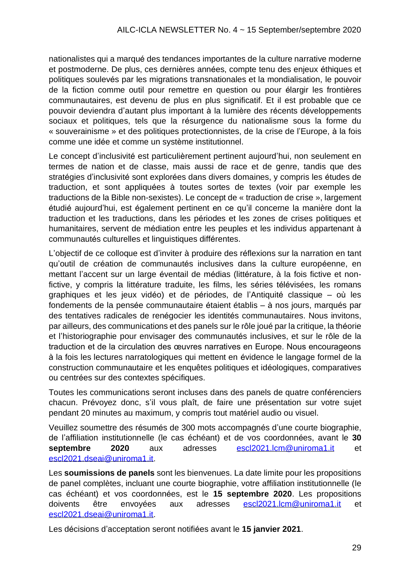nationalistes qui a marqué des tendances importantes de la culture narrative moderne et postmoderne. De plus, ces dernières années, compte tenu des enjeux éthiques et politiques soulevés par les migrations transnationales et la mondialisation, le pouvoir de la fiction comme outil pour remettre en question ou pour élargir les frontières communautaires, est devenu de plus en plus significatif. Et il est probable que ce pouvoir deviendra d'autant plus important à la lumière des récents développements sociaux et politiques, tels que la résurgence du nationalisme sous la forme du « souverainisme » et des politiques protectionnistes, de la crise de l'Europe, à la fois comme une idée et comme un système institutionnel.

Le concept d'inclusivité est particulièrement pertinent aujourd'hui, non seulement en termes de nation et de classe, mais aussi de race et de genre, tandis que des stratégies d'inclusivité sont explorées dans divers domaines, y compris les études de traduction, et sont appliquées à toutes sortes de textes (voir par exemple les traductions de la Bible non-sexistes). Le concept de « traduction de crise », largement étudié aujourd'hui, est également pertinent en ce qu'il concerne la manière dont la traduction et les traductions, dans les périodes et les zones de crises politiques et humanitaires, servent de médiation entre les peuples et les individus appartenant à communautés culturelles et linguistiques différentes.

L'objectif de ce colloque est d'inviter à produire des réflexions sur la narration en tant qu'outil de création de communautés inclusives dans la culture européenne, en mettant l'accent sur un large éventail de médias (littérature, à la fois fictive et nonfictive, y compris la littérature traduite, les films, les séries télévisées, les romans graphiques et les jeux vidéo) et de périodes, de l'Antiquité classique – où les fondements de la pensée communautaire étaient établis – à nos jours, marqués par des tentatives radicales de renégocier les identités communautaires. Nous invitons, par ailleurs, des communications et des panels sur le rôle joué par la critique, la théorie et l'historiographie pour envisager des communautés inclusives, et sur le rôle de la traduction et de la circulation des œuvres narratives en Europe. Nous encourageons à la fois les lectures narratologiques qui mettent en évidence le langage formel de la construction communautaire et les enquêtes politiques et idéologiques, comparatives ou centrées sur des contextes spécifiques.

Toutes les communications seront incluses dans des panels de quatre conférenciers chacun. Prévoyez donc, s'il vous plaît, de faire une présentation sur votre sujet pendant 20 minutes au maximum, y compris tout matériel audio ou visuel.

Veuillez soumettre des résumés de 300 mots accompagnés d'une courte biographie, de l'affiliation institutionnelle (le cas échéant) et de vos coordonnées, avant le **30 septembre 2020** aux adresses [escl2021.lcm@uniroma1.it](mailto:escl2021.lcm@uniroma1.it) et [escl2021.dseai@uniroma1.it.](mailto:escl2021.dseai@uniroma1.it)

Les **soumissions de panels** sont les bienvenues. La date limite pour les propositions de panel complètes, incluant une courte biographie, votre affiliation institutionnelle (le cas échéant) et vos coordonnées, est le **15 septembre 2020**. Les propositions doivents être envoyées aux adresses [escl2021.lcm@uniroma1.it](mailto:escl2021.lcm@uniroma1.it) et [escl2021.dseai@uniroma1.it.](mailto:escl2021.dseai@uniroma1.it)

Les décisions d'acceptation seront notifiées avant le **15 janvier 2021**.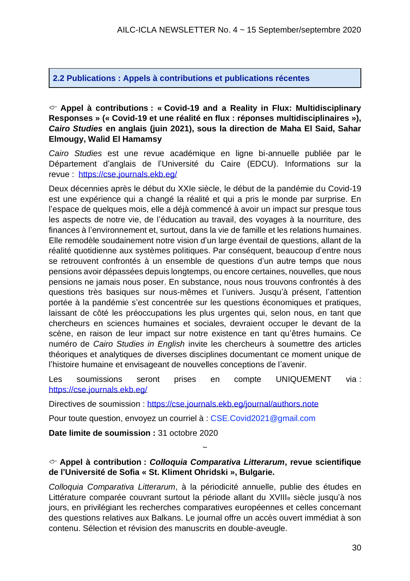**2.2 Publications : Appels à contributions et publications récentes**

### **Appel à contributions : « Covid-19 and a Reality in Flux: Multidisciplinary Responses » (« Covid-19 et une réalité en flux : réponses multidisciplinaires »),**  *Cairo Studies* **en anglais (juin 2021), sous la direction de Maha El Said, Sahar Elmougy, Walid El Hamamsy**

*Cairo Studies* est une revue académique en ligne bi-annuelle publiée par le Département d'anglais de l'Université du Caire (EDCU). Informations sur la revue : <https://cse.journals.ekb.eg/>

Deux décennies après le début du XXIe siècle, le début de la pandémie du Covid-19 est une expérience qui a changé la réalité et qui a pris le monde par surprise. En l'espace de quelques mois, elle a déjà commencé à avoir un impact sur presque tous les aspects de notre vie, de l'éducation au travail, des voyages à la nourriture, des finances à l'environnement et, surtout, dans la vie de famille et les relations humaines. Elle remodèle soudainement notre vision d'un large éventail de questions, allant de la réalité quotidienne aux systèmes politiques. Par conséquent, beaucoup d'entre nous se retrouvent confrontés à un ensemble de questions d'un autre temps que nous pensions avoir dépassées depuis longtemps, ou encore certaines, nouvelles, que nous pensions ne jamais nous poser. En substance, nous nous trouvons confrontés à des questions très basiques sur nous-mêmes et l'univers. Jusqu'à présent, l'attention portée à la pandémie s'est concentrée sur les questions économiques et pratiques, laissant de côté les préoccupations les plus urgentes qui, selon nous, en tant que chercheurs en sciences humaines et sociales, devraient occuper le devant de la scène, en raison de leur impact sur notre existence en tant qu'êtres humains. Ce numéro de *Cairo Studies in English* invite les chercheurs à soumettre des articles théoriques et analytiques de diverses disciplines documentant ce moment unique de l'histoire humaine et envisageant de nouvelles conceptions de l'avenir.

Les soumissions seront prises en compte UNIQUEMENT via : <https://cse.journals.ekb.eg/>

Directives de soumission :<https://cse.journals.ekb.eg/journal/authors.note>

Pour toute question, envoyez un courriel à : CSE.Covid2021@gmail.com

**Date limite de soumission :** 31 octobre 2020

### **Appel à contribution :** *Colloquia Comparativa Litterarum***, revue scientifique de l'Université de Sofia « St. Kliment Ohridski », Bulgarie.**

~

*Colloquia Comparativa Litterarum*, à la périodicité annuelle, publie des études en Littérature comparée couvrant surtout la période allant du XVIII<sup>e</sup> siècle jusqu'à nos jours, en privilégiant les recherches comparatives européennes et celles concernant des questions relatives aux Balkans. Le journal offre un accès ouvert immédiat à son contenu. Sélection et révision des manuscrits en double-aveugle.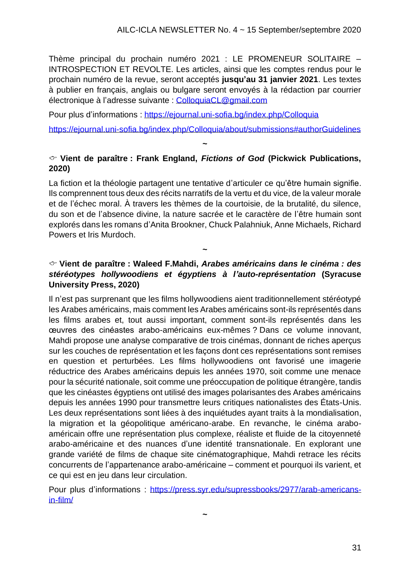Thème principal du prochain numéro 2021 : LE PROMENEUR SOLITAIRE – INTROSPECTION ET REVOLTE. Les articles, ainsi que les comptes rendus pour le prochain numéro de la revue, seront acceptés **jusqu'au 31 janvier 2021**. Les textes à publier en français, anglais ou bulgare seront envoyés à la rédaction par courrier électronique à l'adresse suivante : [ColloquiaCL@gmail.com](mailto:ColloquiaCL@gmail.com)

Pour plus d'informations :<https://ejournal.uni-sofia.bg/index.php/Colloquia>

<https://ejournal.uni-sofia.bg/index.php/Colloquia/about/submissions#authorGuidelines>

**~**

# **Vient de paraître : Frank England,** *Fictions of God* **(Pickwick Publications, 2020)**

La fiction et la théologie partagent une tentative d'articuler ce qu'être humain signifie. Ils comprennent tous deux des récits narratifs de la vertu et du vice, de la valeur morale et de l'échec moral. À travers les thèmes de la courtoisie, de la brutalité, du silence, du son et de l'absence divine, la nature sacrée et le caractère de l'être humain sont explorés dans les romans d'Anita Brookner, Chuck Palahniuk, Anne Michaels, Richard Powers et Iris Murdoch.

### **Vient de paraître : Waleed F.Mahdi,** *Arabes américains dans le cinéma : des stéréotypes hollywoodiens et égyptiens à l'auto-représentation* **(Syracuse University Press, 2020)**

**~**

Il n'est pas surprenant que les films hollywoodiens aient traditionnellement stéréotypé les Arabes américains, mais comment les Arabes américains sont-ils représentés dans les films arabes et, tout aussi important, comment sont-ils représentés dans les œuvres des cinéastes arabo-américains eux-mêmes ? Dans ce volume innovant, Mahdi propose une analyse comparative de trois cinémas, donnant de riches aperçus sur les couches de représentation et les façons dont ces représentations sont remises en question et perturbées. Les films hollywoodiens ont favorisé une imagerie réductrice des Arabes américains depuis les années 1970, soit comme une menace pour la sécurité nationale, soit comme une préoccupation de politique étrangère, tandis que les cinéastes égyptiens ont utilisé des images polarisantes des Arabes américains depuis les années 1990 pour transmettre leurs critiques nationalistes des États-Unis. Les deux représentations sont liées à des inquiétudes ayant traits à la mondialisation, la migration et la géopolitique américano-arabe. En revanche, le cinéma araboaméricain offre une représentation plus complexe, réaliste et fluide de la citoyenneté arabo-américaine et des nuances d'une identité transnationale. En explorant une grande variété de films de chaque site cinématographique, Mahdi retrace les récits concurrents de l'appartenance arabo-américaine – comment et pourquoi ils varient, et ce qui est en jeu dans leur circulation.

Pour plus d'informations : [https://press.syr.edu/supressbooks/2977/arab-americans](https://press.syr.edu/supressbooks/2977/arab-americans-in-film/)[in-film/](https://press.syr.edu/supressbooks/2977/arab-americans-in-film/)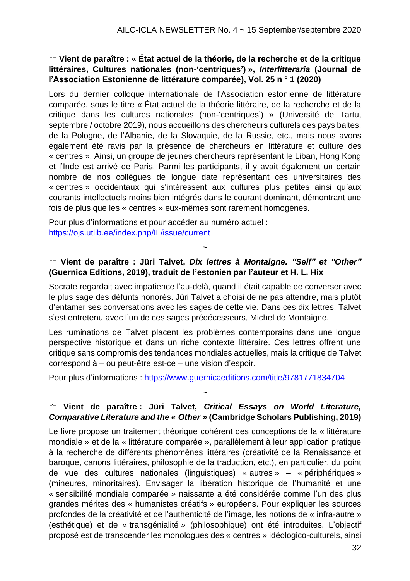### **Vient de paraître : « État actuel de la théorie, de la recherche et de la critique littéraires, Cultures nationales (non-'centriques') »,** *Interlitteraria* **(Journal de l'Association Estonienne de littérature comparée), Vol. 25 n ° 1 (2020)**

Lors du dernier colloque internationale de l'Association estonienne de littérature comparée, sous le titre « État actuel de la théorie littéraire, de la recherche et de la critique dans les cultures nationales (non-'centriques') » (Université de Tartu, septembre / octobre 2019), nous accueillons des chercheurs culturels des pays baltes, de la Pologne, de l'Albanie, de la Slovaquie, de la Russie, etc., mais nous avons également été ravis par la présence de chercheurs en littérature et culture des « centres ». Ainsi, un groupe de jeunes chercheurs représentant le Liban, Hong Kong et l'Inde est arrivé de Paris. Parmi les participants, il y avait également un certain nombre de nos collègues de longue date représentant ces universitaires des « centres » occidentaux qui s'intéressent aux cultures plus petites ainsi qu'aux courants intellectuels moins bien intégrés dans le courant dominant, démontrant une fois de plus que les « centres » eux-mêmes sont rarement homogènes.

Pour plus d'informations et pour accéder au numéro actuel : <https://ojs.utlib.ee/index.php/IL/issue/current>

### **Vient de paraître : Jüri Talvet,** *Dix lettres à Montaigne. "Self" et "Other"* **(Guernica Editions, 2019), traduit de l'estonien par l'auteur et H. L. Hix**

~

Socrate regardait avec impatience l'au-delà, quand il était capable de converser avec le plus sage des défunts honorés. Jüri Talvet a choisi de ne pas attendre, mais plutôt d'entamer ses conversations avec les sages de cette vie. Dans ces dix lettres, Talvet s'est entretenu avec l'un de ces sages prédécesseurs, Michel de Montaigne.

Les ruminations de Talvet placent les problèmes contemporains dans une longue perspective historique et dans un riche contexte littéraire. Ces lettres offrent une critique sans compromis des tendances mondiales actuelles, mais la critique de Talvet correspond à – ou peut-être est-ce – une vision d'espoir.

Pour plus d'informations :<https://www.guernicaeditions.com/title/9781771834704>

### **Vient de paraître : Jüri Talvet,** *Critical Essays on World Literature, Comparative Literature and the « Other »* **(Cambridge Scholars Publishing, 2019)**

~

Le livre propose un traitement théorique cohérent des conceptions de la « littérature mondiale » et de la « littérature comparée », parallèlement à leur application pratique à la recherche de différents phénomènes littéraires (créativité de la Renaissance et baroque, canons littéraires, philosophie de la traduction, etc.), en particulier, du point de vue des cultures nationales (linguistiques) « autres » – « périphériques » (mineures, minoritaires). Envisager la libération historique de l'humanité et une « sensibilité mondiale comparée » naissante a été considérée comme l'un des plus grandes mérites des « humanistes créatifs » européens. Pour expliquer les sources profondes de la créativité et de l'authenticité de l'image, les notions de « infra-autre » (esthétique) et de « transgénialité » (philosophique) ont été introduites. L'objectif proposé est de transcender les monologues des « centres » idéologico-culturels, ainsi